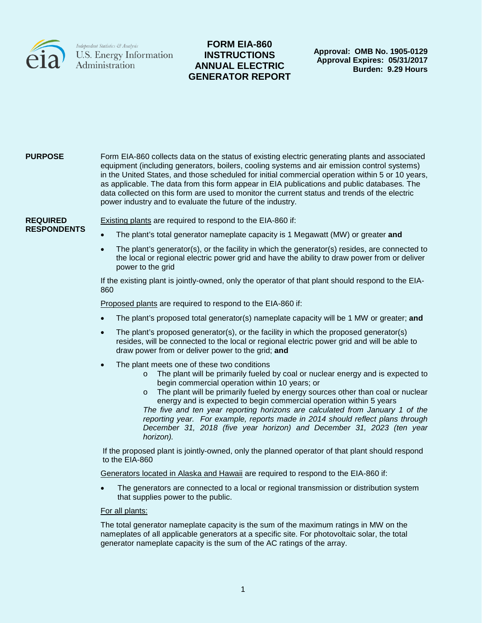

# **FORM EIA-860 INSTRUCTIONS ANNUAL ELECTRIC GENERATOR REPORT**

**Approval: OMB No. 1905-0129 Approval Expires: 05/31/2017 Burden: 9.29 Hours**

#### **PURPOSE** Form EIA-860 collects data on the status of existing electric generating plants and associated equipment (including generators, boilers, cooling systems and air emission control systems) in the United States, and those scheduled for initial commercial operation within 5 or 10 years, as applicable. The data from this form appear in EIA publications and public databases*.* The data collected on this form are used to monitor the current status and trends of the electric power industry and to evaluate the future of the industry.

**REQUIRED RESPONDENTS** Existing plants are required to respond to the EIA-860 if:

- The plant's total generator nameplate capacity is 1 Megawatt (MW) or greater **and**
- The plant's generator(s), or the facility in which the generator(s) resides, are connected to the local or regional electric power grid and have the ability to draw power from or deliver power to the grid

If the existing plant is jointly-owned, only the operator of that plant should respond to the EIA-860

Proposed plants are required to respond to the EIA-860 if:

- The plant's proposed total generator(s) nameplate capacity will be 1 MW or greater; **and**
- The plant's proposed generator(s), or the facility in which the proposed generator(s) resides, will be connected to the local or regional electric power grid and will be able to draw power from or deliver power to the grid; **and**
- The plant meets one of these two conditions
	- o The plant will be primarily fueled by coal or nuclear energy and is expected to begin commercial operation within 10 years; or
	- $\circ$  The plant will be primarily fueled by energy sources other than coal or nuclear energy and is expected to begin commercial operation within 5 years

*The five and ten year reporting horizons are calculated from January 1 of the reporting year. For example, reports made in 2014 should reflect plans through December 31, 2018 (five year horizon) and December 31, 2023 (ten year horizon).*

If the proposed plant is jointly-owned, only the planned operator of that plant should respond to the EIA-860

Generators located in Alaska and Hawaii are required to respond to the EIA-860 if:

• The generators are connected to a local or regional transmission or distribution system that supplies power to the public.

#### For all plants:

The total generator nameplate capacity is the sum of the maximum ratings in MW on the nameplates of all applicable generators at a specific site. For photovoltaic solar, the total generator nameplate capacity is the sum of the AC ratings of the array.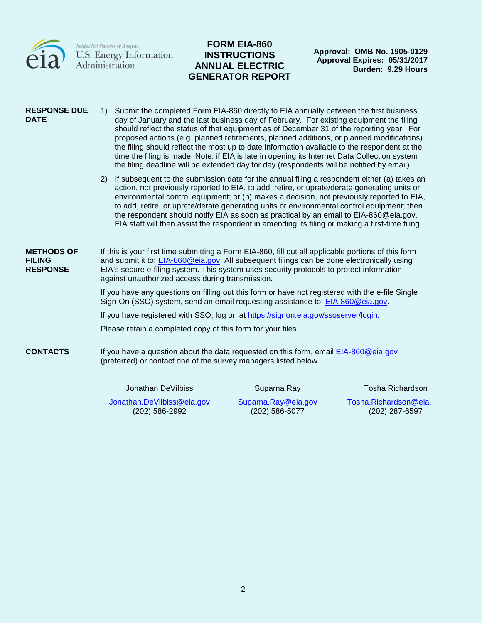

 $\begin{array}{l} \textit{Independent Statistics } \mathcal{C}\textit{Analysis} \\ \textbf{U.S. Energy Information} \\ \textbf{Administration} \end{array}$ 

# **FORM EIA-860 INSTRUCTIONS ANNUAL ELECTRIC GENERATOR REPORT**

**Approval: OMB No. 1905-0129 Approval Expires: 05/31/2017 Burden: 9.29 Hours**

| <b>RESPONSE DUE</b><br><b>DATE</b>                    |               | 1) Submit the completed Form EIA-860 directly to EIA annually between the first business<br>day of January and the last business day of February. For existing equipment the filing<br>should reflect the status of that equipment as of December 31 of the reporting year. For<br>proposed actions (e.g. planned retirements, planned additions, or planned modifications)<br>the filing should reflect the most up to date information available to the respondent at the<br>time the filing is made. Note: if EIA is late in opening its Internet Data Collection system<br>the filing deadline will be extended day for day (respondents will be notified by email). |             |                         |
|-------------------------------------------------------|---------------|--------------------------------------------------------------------------------------------------------------------------------------------------------------------------------------------------------------------------------------------------------------------------------------------------------------------------------------------------------------------------------------------------------------------------------------------------------------------------------------------------------------------------------------------------------------------------------------------------------------------------------------------------------------------------|-------------|-------------------------|
|                                                       | <sup>2)</sup> | If subsequent to the submission date for the annual filing a respondent either (a) takes an<br>action, not previously reported to EIA, to add, retire, or uprate/derate generating units or<br>environmental control equipment; or (b) makes a decision, not previously reported to EIA,<br>to add, retire, or uprate/derate generating units or environmental control equipment; then<br>the respondent should notify EIA as soon as practical by an email to EIA-860@eia.gov.<br>EIA staff will then assist the respondent in amending its filing or making a first-time filing.                                                                                       |             |                         |
| <b>METHODS OF</b><br><b>FILING</b><br><b>RESPONSE</b> |               | If this is your first time submitting a Form EIA-860, fill out all applicable portions of this form<br>and submit it to: EIA-860@eia.gov. All subsequent filings can be done electronically using<br>EIA's secure e-filing system. This system uses security protocols to protect information<br>against unauthorized access during transmission.                                                                                                                                                                                                                                                                                                                        |             |                         |
|                                                       |               | If you have any questions on filling out this form or have not registered with the e-file Single<br>Sign-On (SSO) system, send an email requesting assistance to: EIA-860@eia.gov.                                                                                                                                                                                                                                                                                                                                                                                                                                                                                       |             |                         |
|                                                       |               | If you have registered with SSO, log on at https://signon.eia.gov/ssoserver/login.                                                                                                                                                                                                                                                                                                                                                                                                                                                                                                                                                                                       |             |                         |
|                                                       |               | Please retain a completed copy of this form for your files.                                                                                                                                                                                                                                                                                                                                                                                                                                                                                                                                                                                                              |             |                         |
| <b>CONTACTS</b>                                       |               | If you have a question about the data requested on this form, email EIA-860@eia.gov<br>(preferred) or contact one of the survey managers listed below.                                                                                                                                                                                                                                                                                                                                                                                                                                                                                                                   |             |                         |
|                                                       |               | Jonathan DeVilbiss                                                                                                                                                                                                                                                                                                                                                                                                                                                                                                                                                                                                                                                       | Suparna Ray | <b>Tosha Richardson</b> |

[Jonathan.DeVilbiss@eia.gov](mailto:Jonathan.DeVilbiss@eia.gov) (202) 586-2992

[Suparna.Ray@eia.gov](mailto:Suparna.Ray@eia.gov) (202) 586-5077

[Tosha.Richardson@eia.g](mailto:Tosha.Richardson@eia.gov) (202) 287-6597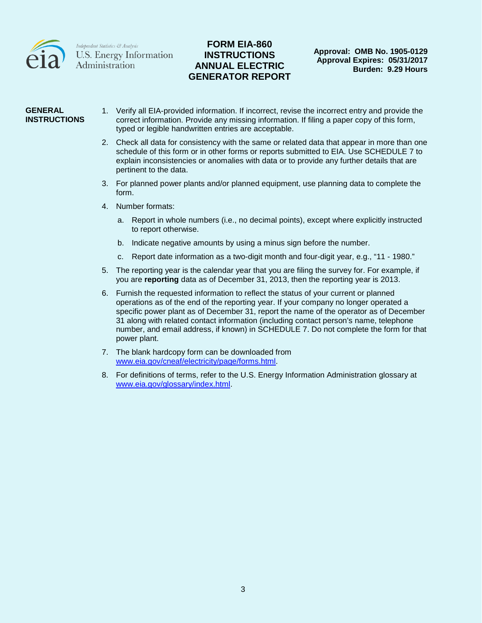

## **FORM EIA-860 INSTRUCTIONS ANNUAL ELECTRIC GENERATOR REPORT**

#### **GENERAL INSTRUCTIONS**

- 1. Verify all EIA-provided information. If incorrect, revise the incorrect entry and provide the correct information. Provide any missing information. If filing a paper copy of this form, typed or legible handwritten entries are acceptable.
	- 2. Check all data for consistency with the same or related data that appear in more than one schedule of this form or in other forms or reports submitted to EIA. Use SCHEDULE 7 to explain inconsistencies or anomalies with data or to provide any further details that are pertinent to the data.
	- 3. For planned power plants and/or planned equipment, use planning data to complete the form.
	- 4. Number formats:
		- a. Report in whole numbers (i.e., no decimal points), except where explicitly instructed to report otherwise.
		- b. Indicate negative amounts by using a minus sign before the number.
		- c. Report date information as a two-digit month and four-digit year, e.g., "11 1980."
	- 5. The reporting year is the calendar year that you are filing the survey for. For example, if you are **reporting** data as of December 31, 2013, then the reporting year is 2013.
	- 6. Furnish the requested information to reflect the status of your current or planned operations as of the end of the reporting year. If your company no longer operated a specific power plant as of December 31, report the name of the operator as of December 31 along with related contact information (including contact person's name, telephone number, and email address, if known) in SCHEDULE 7. Do not complete the form for that power plant.
	- 7. The blank hardcopy form can be downloaded from [www.eia.gov/cneaf/electricity/page/forms.html.](http://www.eia.gov/cneaf/electricity/page/forms.html)
	- 8. For definitions of terms, refer to the U.S. Energy Information Administration glossary at [www.eia.gov/glossary/index.html.](http://www.eia.gov/glossary/index.html)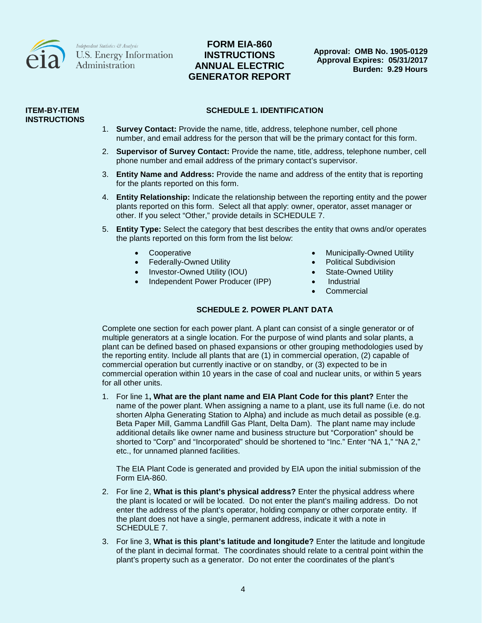

# **FORM EIA-860 INSTRUCTIONS ANNUAL ELECTRIC GENERATOR REPORT**

**Approval: OMB No. 1905-0129 Approval Expires: 05/31/2017 Burden: 9.29 Hours**

#### **ITEM-BY-ITEM INSTRUCTIONS**

#### **SCHEDULE 1. IDENTIFICATION**

- 1. **Survey Contact:** Provide the name, title, address, telephone number, cell phone number, and email address for the person that will be the primary contact for this form.
- 2. **Supervisor of Survey Contact:** Provide the name, title, address, telephone number, cell phone number and email address of the primary contact's supervisor.
- 3. **Entity Name and Address:** Provide the name and address of the entity that is reporting for the plants reported on this form.
- 4. **Entity Relationship:** Indicate the relationship between the reporting entity and the power plants reported on this form. Select all that apply: owner, operator, asset manager or other. If you select "Other," provide details in SCHEDULE 7.
- 5. **Entity Type:** Select the category that best describes the entity that owns and/or operates the plants reported on this form from the list below:
	-
	- Federally-Owned Utility  **Political Subdivision**
	- Investor-Owned Utility (IOU) **•** State-Owned Utility
	- Independent Power Producer (IPP) Industrial
	- Cooperative Cooperative Municipally-Owned Utility
		-
		-
		-
		- **Commercial**

#### **SCHEDULE 2. POWER PLANT DATA**

Complete one section for each power plant. A plant can consist of a single generator or of multiple generators at a single location. For the purpose of wind plants and solar plants, a plant can be defined based on phased expansions or other grouping methodologies used by the reporting entity. Include all plants that are (1) in commercial operation, (2) capable of commercial operation but currently inactive or on standby, or (3) expected to be in commercial operation within 10 years in the case of coal and nuclear units, or within 5 years for all other units.

1. For line 1**, What are the plant name and EIA Plant Code for this plant?** Enter the name of the power plant. When assigning a name to a plant, use its full name (i.e. do not shorten Alpha Generating Station to Alpha) and include as much detail as possible (e.g. Beta Paper Mill, Gamma Landfill Gas Plant, Delta Dam). The plant name may include additional details like owner name and business structure but "Corporation" should be shorted to "Corp" and "Incorporated" should be shortened to "Inc." Enter "NA 1," "NA 2," etc., for unnamed planned facilities.

The EIA Plant Code is generated and provided by EIA upon the initial submission of the Form EIA-860.

- 2. For line 2, **What is this plant's physical address?** Enter the physical address where the plant is located or will be located. Do not enter the plant's mailing address. Do not enter the address of the plant's operator, holding company or other corporate entity. If the plant does not have a single, permanent address, indicate it with a note in SCHEDULE 7.
- 3. For line 3, **What is this plant's latitude and longitude?** Enter the latitude and longitude of the plant in decimal format. The coordinates should relate to a central point within the plant's property such as a generator. Do not enter the coordinates of the plant's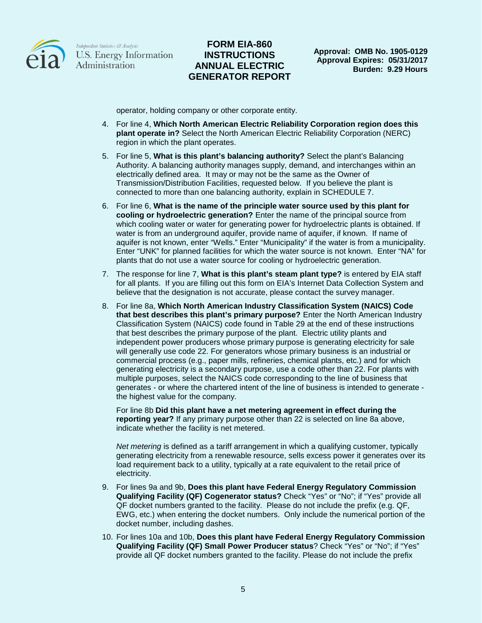

## **FORM EIA-860 INSTRUCTIONS ANNUAL ELECTRIC GENERATOR REPORT**

operator, holding company or other corporate entity.

- 4. For line 4, **Which North American Electric Reliability Corporation region does this plant operate in?** Select the North American Electric Reliability Corporation (NERC) region in which the plant operates.
- 5. For line 5, **What is this plant's balancing authority?** Select the plant's Balancing Authority. A balancing authority manages supply, demand, and interchanges within an electrically defined area. It may or may not be the same as the Owner of Transmission/Distribution Facilities, requested below. If you believe the plant is connected to more than one balancing authority, explain in SCHEDULE 7.
- 6. For line 6, **What is the name of the principle water source used by this plant for cooling or hydroelectric generation?** Enter the name of the principal source from which cooling water or water for generating power for hydroelectric plants is obtained. If water is from an underground aquifer, provide name of aquifer, if known. If name of aquifer is not known, enter "Wells." Enter "Municipality" if the water is from a municipality. Enter "UNK" for planned facilities for which the water source is not known. Enter "NA" for plants that do not use a water source for cooling or hydroelectric generation.
- 7. The response for line 7, **What is this plant's steam plant type?** is entered by EIA staff for all plants. If you are filling out this form on EIA's Internet Data Collection System and believe that the designation is not accurate, please contact the survey manager.
- 8. For line 8a, **Which North American Industry Classification System (NAICS) Code that best describes this plant's primary purpose?** Enter the North American Industry Classification System (NAICS) code found in Table 29 at the end of these instructions that best describes the primary purpose of the plant. Electric utility plants and independent power producers whose primary purpose is generating electricity for sale will generally use code 22. For generators whose primary business is an industrial or commercial process (e.g., paper mills, refineries, chemical plants, etc.) and for which generating electricity is a secondary purpose, use a code other than 22. For plants with multiple purposes, select the NAICS code corresponding to the line of business that generates - or where the chartered intent of the line of business is intended to generate the highest value for the company.

For line 8b **Did this plant have a net metering agreement in effect during the reporting year?** If any primary purpose other than 22 is selected on line 8a above, indicate whether the facility is net metered.

*Net metering* is defined as a tariff arrangement in which a qualifying customer, typically generating electricity from a renewable resource, sells excess power it generates over its load requirement back to a utility, typically at a rate equivalent to the retail price of electricity.

- 9. For lines 9a and 9b, **Does this plant have Federal Energy Regulatory Commission Qualifying Facility (QF) Cogenerator status?** Check "Yes" or "No"; if "Yes" provide all QF docket numbers granted to the facility. Please do not include the prefix (e.g. QF, EWG, etc.) when entering the docket numbers. Only include the numerical portion of the docket number, including dashes.
- 10. For lines 10a and 10b, **Does this plant have Federal Energy Regulatory Commission Qualifying Facility (QF) Small Power Producer status**? Check "Yes" or "No"; if "Yes" provide all QF docket numbers granted to the facility. Please do not include the prefix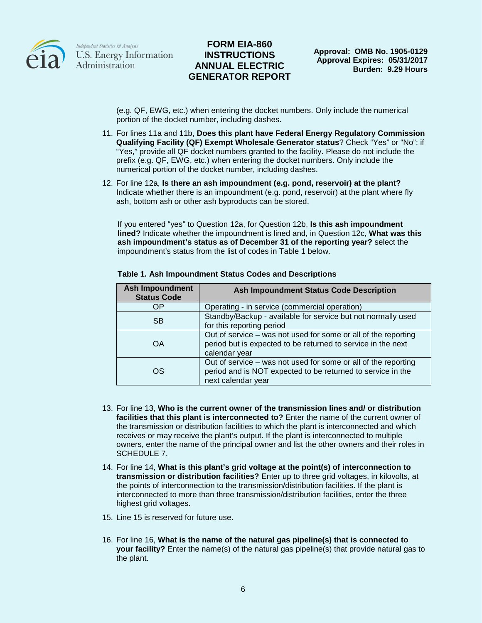

## **FORM EIA-860 INSTRUCTIONS ANNUAL ELECTRIC GENERATOR REPORT**

(e.g. QF, EWG, etc.) when entering the docket numbers. Only include the numerical portion of the docket number, including dashes.

- 11. For lines 11a and 11b, **Does this plant have Federal Energy Regulatory Commission Qualifying Facility (QF) Exempt Wholesale Generator status**? Check "Yes" or "No"; if "Yes," provide all QF docket numbers granted to the facility. Please do not include the prefix (e.g. QF, EWG, etc.) when entering the docket numbers. Only include the numerical portion of the docket number, including dashes.
- 12. For line 12a, **Is there an ash impoundment (e.g. pond, reservoir) at the plant?** Indicate whether there is an impoundment (e.g. pond, reservoir) at the plant where fly ash, bottom ash or other ash byproducts can be stored.

If you entered "yes" to Question 12a, for Question 12b, **Is this ash impoundment lined?** Indicate whether the impoundment is lined and, in Question 12c, **What was this ash impoundment's status as of December 31 of the reporting year?** select the impoundment's status from the list of codes in Table 1 below.

| <b>Ash Impoundment</b><br><b>Status Code</b> | Ash Impoundment Status Code Description                                                                                                             |
|----------------------------------------------|-----------------------------------------------------------------------------------------------------------------------------------------------------|
| ΟP                                           | Operating - in service (commercial operation)                                                                                                       |
| <b>SB</b>                                    | Standby/Backup - available for service but not normally used<br>for this reporting period                                                           |
| OA                                           | Out of service – was not used for some or all of the reporting<br>period but is expected to be returned to service in the next<br>calendar year     |
| OS                                           | Out of service – was not used for some or all of the reporting<br>period and is NOT expected to be returned to service in the<br>next calendar year |

#### **Table 1. Ash Impoundment Status Codes and Descriptions**

- 13. For line 13, **Who is the current owner of the transmission lines and/ or distribution facilities that this plant is interconnected to?** Enter the name of the current owner of the transmission or distribution facilities to which the plant is interconnected and which receives or may receive the plant's output. If the plant is interconnected to multiple owners, enter the name of the principal owner and list the other owners and their roles in SCHEDULE 7.
- 14. For line 14, **What is this plant's grid voltage at the point(s) of interconnection to transmission or distribution facilities?** Enter up to three grid voltages, in kilovolts, at the points of interconnection to the transmission/distribution facilities. If the plant is interconnected to more than three transmission/distribution facilities, enter the three highest grid voltages.
- 15. Line 15 is reserved for future use.
- 16. For line 16, **What is the name of the natural gas pipeline(s) that is connected to your facility?** Enter the name(s) of the natural gas pipeline(s) that provide natural gas to the plant.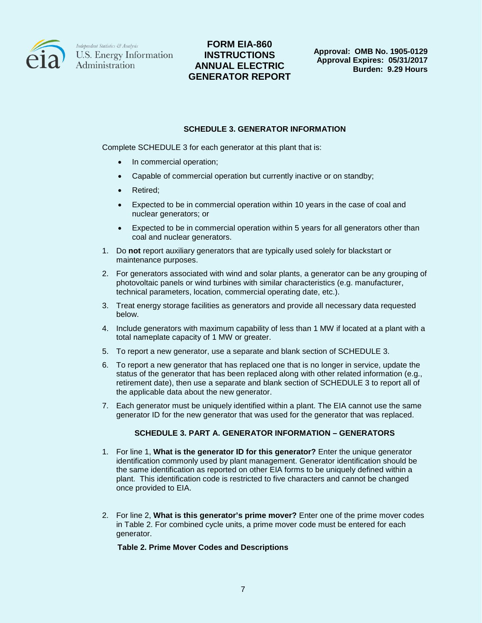

# **FORM EIA-860 INSTRUCTIONS ANNUAL ELECTRIC GENERATOR REPORT**

#### **SCHEDULE 3. GENERATOR INFORMATION**

Complete SCHEDULE 3 for each generator at this plant that is:

- In commercial operation;
- Capable of commercial operation but currently inactive or on standby;
- Retired;
- Expected to be in commercial operation within 10 years in the case of coal and nuclear generators; or
- Expected to be in commercial operation within 5 years for all generators other than coal and nuclear generators.
- 1. Do **not** report auxiliary generators that are typically used solely for blackstart or maintenance purposes.
- 2. For generators associated with wind and solar plants, a generator can be any grouping of photovoltaic panels or wind turbines with similar characteristics (e.g. manufacturer, technical parameters, location, commercial operating date, etc.).
- 3. Treat energy storage facilities as generators and provide all necessary data requested below.
- 4. Include generators with maximum capability of less than 1 MW if located at a plant with a total nameplate capacity of 1 MW or greater.
- 5. To report a new generator, use a separate and blank section of SCHEDULE 3.
- 6. To report a new generator that has replaced one that is no longer in service, update the status of the generator that has been replaced along with other related information (e.g., retirement date), then use a separate and blank section of SCHEDULE 3 to report all of the applicable data about the new generator.
- 7. Each generator must be uniquely identified within a plant. The EIA cannot use the same generator ID for the new generator that was used for the generator that was replaced.

#### **SCHEDULE 3. PART A. GENERATOR INFORMATION – GENERATORS**

- 1. For line 1, **What is the generator ID for this generator?** Enter the unique generator identification commonly used by plant management. Generator identification should be the same identification as reported on other EIA forms to be uniquely defined within a plant. This identification code is restricted to five characters and cannot be changed once provided to EIA.
- 2. For line 2, **What is this generator's prime mover?** Enter one of the prime mover codes in Table 2. For combined cycle units, a prime mover code must be entered for each generator.

#### **Table 2. Prime Mover Codes and Descriptions**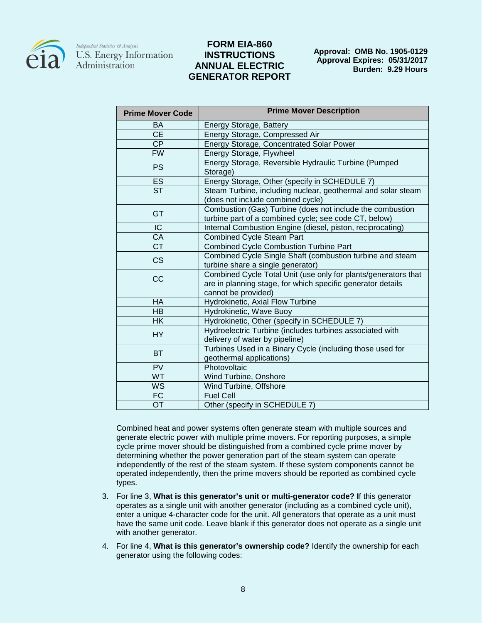

### **FORM EIA-860 INSTRUCTIONS ANNUAL ELECTRIC GENERATOR REPORT**

**Approval: OMB No. 1905-0129 Approval Expires: 05/31/2017 Burden: 9.29 Hours**

| <b>Prime Mover Code</b>           | <b>Prime Mover Description</b>                                                                                     |
|-----------------------------------|--------------------------------------------------------------------------------------------------------------------|
| BA                                | Energy Storage, Battery                                                                                            |
| $\overline{\overline{\text{CE}}}$ | Energy Storage, Compressed Air                                                                                     |
| CP                                | <b>Energy Storage, Concentrated Solar Power</b>                                                                    |
| <b>FW</b>                         | Energy Storage, Flywheel                                                                                           |
| <b>PS</b>                         | Energy Storage, Reversible Hydraulic Turbine (Pumped<br>Storage)                                                   |
| ES                                | Energy Storage, Other (specify in SCHEDULE 7)                                                                      |
| <b>ST</b>                         | Steam Turbine, including nuclear, geothermal and solar steam<br>(does not include combined cycle)                  |
| <b>GT</b>                         | Combustion (Gas) Turbine (does not include the combustion<br>turbine part of a combined cycle; see code CT, below) |
| $\overline{C}$                    | Internal Combustion Engine (diesel, piston, reciprocating)                                                         |
| CA                                | <b>Combined Cycle Steam Part</b>                                                                                   |
| $\overline{\text{CT}}$            | <b>Combined Cycle Combustion Turbine Part</b>                                                                      |
| <b>CS</b>                         | Combined Cycle Single Shaft (combustion turbine and steam                                                          |
|                                   | turbine share a single generator)                                                                                  |
| CC                                | Combined Cycle Total Unit (use only for plants/generators that                                                     |
|                                   | are in planning stage, for which specific generator details<br>cannot be provided)                                 |
| <b>HA</b>                         | Hydrokinetic, Axial Flow Turbine                                                                                   |
| <b>HB</b>                         | Hydrokinetic, Wave Buoy                                                                                            |
| <b>HK</b>                         | Hydrokinetic, Other (specify in SCHEDULE 7)                                                                        |
| <b>HY</b>                         | Hydroelectric Turbine (includes turbines associated with                                                           |
|                                   | delivery of water by pipeline)                                                                                     |
| <b>BT</b>                         | Turbines Used in a Binary Cycle (including those used for                                                          |
|                                   | geothermal applications)                                                                                           |
| PV                                | Photovoltaic                                                                                                       |
| <b>WT</b>                         | Wind Turbine, Onshore                                                                                              |
| WS                                | Wind Turbine, Offshore                                                                                             |
| <b>FC</b>                         | <b>Fuel Cell</b>                                                                                                   |
| <b>OT</b>                         | Other (specify in SCHEDULE 7)                                                                                      |

Combined heat and power systems often generate steam with multiple sources and generate electric power with multiple prime movers. For reporting purposes, a simple cycle prime mover should be distinguished from a combined cycle prime mover by determining whether the power generation part of the steam system can operate independently of the rest of the steam system. If these system components cannot be operated independently, then the prime movers should be reported as combined cycle types.

- 3. For line 3, **What is this generator's unit or multi-generator code? I**f this generator operates as a single unit with another generator (including as a combined cycle unit), enter a unique 4-character code for the unit. All generators that operate as a unit must have the same unit code. Leave blank if this generator does not operate as a single unit with another generator.
- 4. For line 4, **What is this generator's ownership code?** Identify the ownership for each generator using the following codes: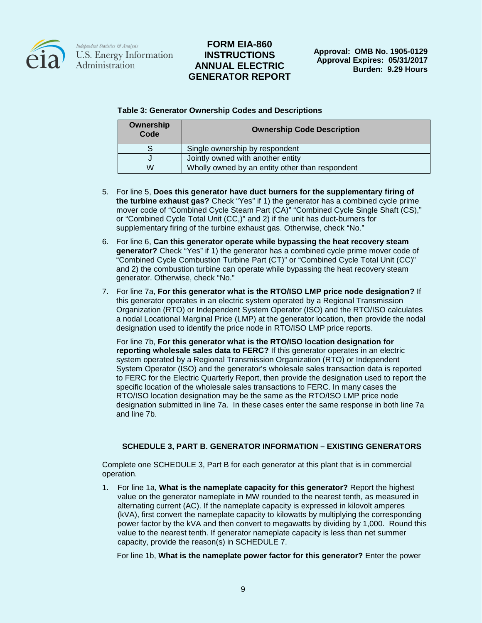

## **FORM EIA-860 INSTRUCTIONS ANNUAL ELECTRIC GENERATOR REPORT**

**Approval: OMB No. 1905-0129 Approval Expires: 05/31/2017 Burden: 9.29 Hours**

**Table 3: Generator Ownership Codes and Descriptions**

| Ownership<br>Code | <b>Ownership Code Description</b>               |
|-------------------|-------------------------------------------------|
|                   | Single ownership by respondent                  |
|                   | Jointly owned with another entity               |
| W                 | Wholly owned by an entity other than respondent |

- 5. For line 5, **Does this generator have duct burners for the supplementary firing of the turbine exhaust gas?** Check "Yes" if 1) the generator has a combined cycle prime mover code of "Combined Cycle Steam Part (CA)" "Combined Cycle Single Shaft (CS)," or "Combined Cycle Total Unit (CC,)" and 2) if the unit has duct-burners for supplementary firing of the turbine exhaust gas. Otherwise, check "No."
- 6. For line 6, **Can this generator operate while bypassing the heat recovery steam generator?** Check "Yes" if 1) the generator has a combined cycle prime mover code of "Combined Cycle Combustion Turbine Part (CT)" or "Combined Cycle Total Unit (CC)" and 2) the combustion turbine can operate while bypassing the heat recovery steam generator. Otherwise, check "No."
- 7. For line 7a, **For this generator what is the RTO/ISO LMP price node designation?** If this generator operates in an electric system operated by a Regional Transmission Organization (RTO) or Independent System Operator (ISO) and the RTO/ISO calculates a nodal Locational Marginal Price (LMP) at the generator location, then provide the nodal designation used to identify the price node in RTO/ISO LMP price reports.

For line 7b, **For this generator what is the RTO/ISO location designation for reporting wholesale sales data to FERC?** If this generator operates in an electric system operated by a Regional Transmission Organization (RTO) or Independent System Operator (ISO) and the generator's wholesale sales transaction data is reported to FERC for the Electric Quarterly Report, then provide the designation used to report the specific location of the wholesale sales transactions to FERC. In many cases the RTO/ISO location designation may be the same as the RTO/ISO LMP price node designation submitted in line 7a. In these cases enter the same response in both line 7a and line 7b.

### **SCHEDULE 3, PART B. GENERATOR INFORMATION – EXISTING GENERATORS**

Complete one SCHEDULE 3, Part B for each generator at this plant that is in commercial operation.

1. For line 1a, **What is the nameplate capacity for this generator?** Report the highest value on the generator nameplate in MW rounded to the nearest tenth, as measured in alternating current (AC). If the nameplate capacity is expressed in kilovolt amperes (kVA), first convert the nameplate capacity to kilowatts by multiplying the corresponding power factor by the kVA and then convert to megawatts by dividing by 1,000. Round this value to the nearest tenth. If generator nameplate capacity is less than net summer capacity, provide the reason(s) in SCHEDULE 7.

For line 1b, **What is the nameplate power factor for this generator?** Enter the power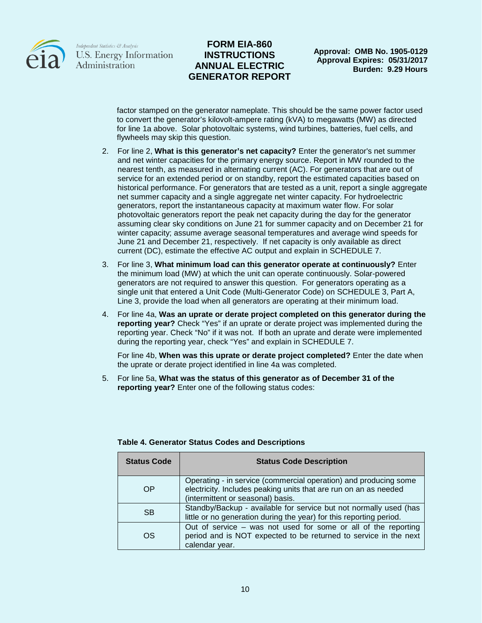

## **FORM EIA-860 INSTRUCTIONS ANNUAL ELECTRIC GENERATOR REPORT**

**Approval: OMB No. 1905-0129 Approval Expires: 05/31/2017 Burden: 9.29 Hours**

factor stamped on the generator nameplate. This should be the same power factor used to convert the generator's kilovolt-ampere rating (kVA) to megawatts (MW) as directed for line 1a above. Solar photovoltaic systems, wind turbines, batteries, fuel cells, and flywheels may skip this question.

- 2. For line 2, **What is this generator's net capacity?** Enter the generator's net summer and net winter capacities for the primary energy source. Report in MW rounded to the nearest tenth, as measured in alternating current (AC). For generators that are out of service for an extended period or on standby, report the estimated capacities based on historical performance. For generators that are tested as a unit, report a single aggregate net summer capacity and a single aggregate net winter capacity. For hydroelectric generators, report the instantaneous capacity at maximum water flow. For solar photovoltaic generators report the peak net capacity during the day for the generator assuming clear sky conditions on June 21 for summer capacity and on December 21 for winter capacity; assume average seasonal temperatures and average wind speeds for June 21 and December 21, respectively. If net capacity is only available as direct current (DC), estimate the effective AC output and explain in SCHEDULE 7.
- 3. For line 3, **What minimum load can this generator operate at continuously?** Enter the minimum load (MW) at which the unit can operate continuously. Solar-powered generators are not required to answer this question. For generators operating as a single unit that entered a Unit Code (Multi-Generator Code) on SCHEDULE 3, Part A, Line 3, provide the load when all generators are operating at their minimum load.
- 4. For line 4a, **Was an uprate or derate project completed on this generator during the reporting year?** Check "Yes" if an uprate or derate project was implemented during the reporting year. Check "No" if it was not. If both an uprate and derate were implemented during the reporting year, check "Yes" and explain in SCHEDULE 7.

For line 4b, **When was this uprate or derate project completed?** Enter the date when the uprate or derate project identified in line 4a was completed.

5. For line 5a, **What was the status of this generator as of December 31 of the reporting year?** Enter one of the following status codes:

| <b>Status Code</b> | <b>Status Code Description</b>                                                                                                                                            |
|--------------------|---------------------------------------------------------------------------------------------------------------------------------------------------------------------------|
| OP                 | Operating - in service (commercial operation) and producing some<br>electricity. Includes peaking units that are run on an as needed<br>(intermittent or seasonal) basis. |
| <b>SB</b>          | Standby/Backup - available for service but not normally used (has<br>little or no generation during the year) for this reporting period.                                  |
| OS                 | Out of service $-$ was not used for some or all of the reporting<br>period and is NOT expected to be returned to service in the next<br>calendar year.                    |

#### **Table 4. Generator Status Codes and Descriptions**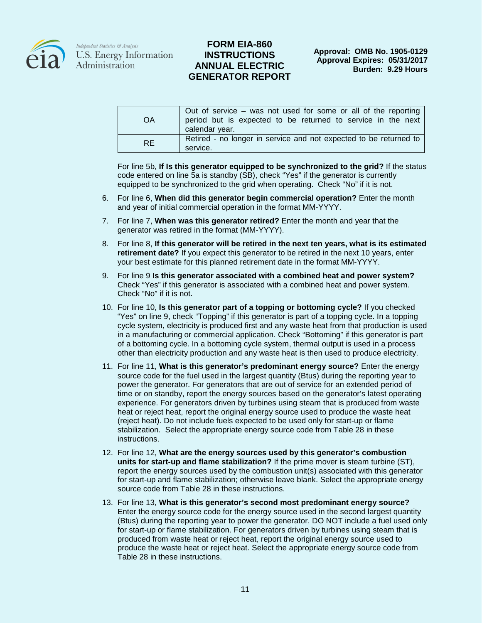

### **FORM EIA-860 INSTRUCTIONS ANNUAL ELECTRIC GENERATOR REPORT**

| OA        | Out of service $-$ was not used for some or all of the reporting<br>period but is expected to be returned to service in the next<br>calendar year. |
|-----------|----------------------------------------------------------------------------------------------------------------------------------------------------|
| <b>RE</b> | Retired - no longer in service and not expected to be returned to<br>service.                                                                      |

For line 5b, **If Is this generator equipped to be synchronized to the grid?** If the status code entered on line 5a is standby (SB), check "Yes" if the generator is currently equipped to be synchronized to the grid when operating. Check "No" if it is not.

- 6. For line 6, **When did this generator begin commercial operation?** Enter the month and year of initial commercial operation in the format MM-YYYY.
- 7. For line 7, **When was this generator retired?** Enter the month and year that the generator was retired in the format (MM-YYYY).
- 8. For line 8, **If this generator will be retired in the next ten years, what is its estimated retirement date?** If you expect this generator to be retired in the next 10 years, enter your best estimate for this planned retirement date in the format MM-YYYY.
- 9. For line 9 **Is this generator associated with a combined heat and power system?** Check "Yes" if this generator is associated with a combined heat and power system. Check "No" if it is not.
- 10. For line 10, **Is this generator part of a topping or bottoming cycle?** If you checked "Yes" on line 9, check "Topping" if this generator is part of a topping cycle. In a topping cycle system, electricity is produced first and any waste heat from that production is used in a manufacturing or commercial application. Check "Bottoming" if this generator is part of a bottoming cycle. In a bottoming cycle system, thermal output is used in a process other than electricity production and any waste heat is then used to produce electricity.
- 11. For line 11, **What is this generator's predominant energy source?** Enter the energy source code for the fuel used in the largest quantity (Btus) during the reporting year to power the generator. For generators that are out of service for an extended period of time or on standby, report the energy sources based on the generator's latest operating experience. For generators driven by turbines using steam that is produced from waste heat or reject heat, report the original energy source used to produce the waste heat (reject heat). Do not include fuels expected to be used only for start-up or flame stabilization. Select the appropriate energy source code from Table 28 in these instructions.
- 12. For line 12, **What are the energy sources used by this generator's combustion units for start-up and flame stabilization?** If the prime mover is steam turbine (ST), report the energy sources used by the combustion unit(s) associated with this generator for start-up and flame stabilization; otherwise leave blank. Select the appropriate energy source code from Table 28 in these instructions.
- 13. For line 13, **What is this generator's second most predominant energy source?** Enter the energy source code for the energy source used in the second largest quantity (Btus) during the reporting year to power the generator. DO NOT include a fuel used only for start-up or flame stabilization. For generators driven by turbines using steam that is produced from waste heat or reject heat, report the original energy source used to produce the waste heat or reject heat. Select the appropriate energy source code from Table 28 in these instructions.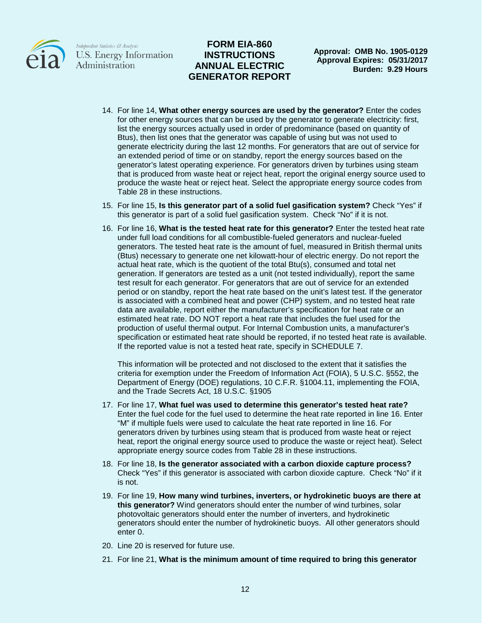

## **FORM EIA-860 INSTRUCTIONS ANNUAL ELECTRIC GENERATOR REPORT**

**Approval: OMB No. 1905-0129 Approval Expires: 05/31/2017 Burden: 9.29 Hours**

- 14. For line 14, **What other energy sources are used by the generator?** Enter the codes for other energy sources that can be used by the generator to generate electricity: first, list the energy sources actually used in order of predominance (based on quantity of Btus), then list ones that the generator was capable of using but was not used to generate electricity during the last 12 months. For generators that are out of service for an extended period of time or on standby, report the energy sources based on the generator's latest operating experience. For generators driven by turbines using steam that is produced from waste heat or reject heat, report the original energy source used to produce the waste heat or reject heat. Select the appropriate energy source codes from Table 28 in these instructions.
- 15. For line 15, **Is this generator part of a solid fuel gasification system?** Check "Yes" if this generator is part of a solid fuel gasification system. Check "No" if it is not.
- 16. For line 16, **What is the tested heat rate for this generator?** Enter the tested heat rate under full load conditions for all combustible-fueled generators and nuclear-fueled generators. The tested heat rate is the amount of fuel, measured in British thermal units (Btus) necessary to generate one net kilowatt-hour of electric energy. Do not report the actual heat rate, which is the quotient of the total Btu(s), consumed and total net generation. If generators are tested as a unit (not tested individually), report the same test result for each generator. For generators that are out of service for an extended period or on standby, report the heat rate based on the unit's latest test. If the generator is associated with a combined heat and power (CHP) system, and no tested heat rate data are available, report either the manufacturer's specification for heat rate or an estimated heat rate. DO NOT report a heat rate that includes the fuel used for the production of useful thermal output. For Internal Combustion units, a manufacturer's specification or estimated heat rate should be reported, if no tested heat rate is available. If the reported value is not a tested heat rate, specify in SCHEDULE 7.

This information will be protected and not disclosed to the extent that it satisfies the criteria for exemption under the Freedom of Information Act (FOIA), 5 U.S.C. §552, the Department of Energy (DOE) regulations, 10 C.F.R. §1004.11, implementing the FOIA, and the Trade Secrets Act, 18 U.S.C. §1905

- 17. For line 17, **What fuel was used to determine this generator's tested heat rate?** Enter the fuel code for the fuel used to determine the heat rate reported in line 16. Enter "M" if multiple fuels were used to calculate the heat rate reported in line 16. For generators driven by turbines using steam that is produced from waste heat or reject heat, report the original energy source used to produce the waste or reject heat). Select appropriate energy source codes from Table 28 in these instructions.
- 18. For line 18, **Is the generator associated with a carbon dioxide capture process?** Check "Yes" if this generator is associated with carbon dioxide capture. Check "No" if it is not.
- 19. For line 19, **How many wind turbines, inverters, or hydrokinetic buoys are there at this generator?** Wind generators should enter the number of wind turbines, solar photovoltaic generators should enter the number of inverters, and hydrokinetic generators should enter the number of hydrokinetic buoys. All other generators should enter 0.
- 20. Line 20 is reserved for future use.
- 21. For line 21, **What is the minimum amount of time required to bring this generator**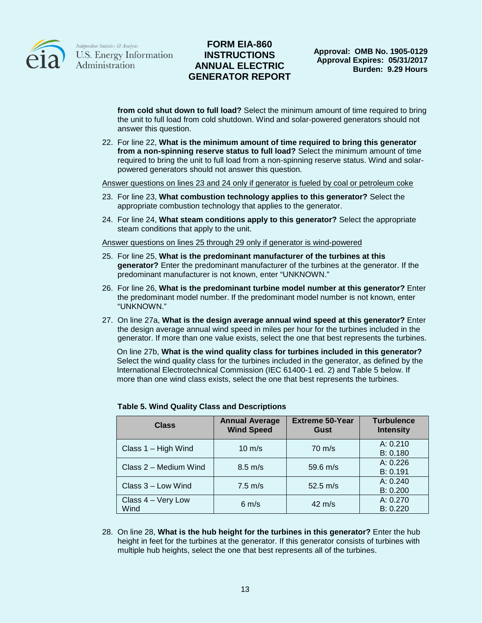

## **FORM EIA-860 INSTRUCTIONS ANNUAL ELECTRIC GENERATOR REPORT**

**from cold shut down to full load?** Select the minimum amount of time required to bring the unit to full load from cold shutdown. Wind and solar-powered generators should not answer this question.

22. For line 22, **What is the minimum amount of time required to bring this generator from a non-spinning reserve status to full load?** Select the minimum amount of time required to bring the unit to full load from a non-spinning reserve status. Wind and solarpowered generators should not answer this question.

Answer questions on lines 23 and 24 only if generator is fueled by coal or petroleum coke

- 23. For line 23, **What combustion technology applies to this generator?** Select the appropriate combustion technology that applies to the generator.
- 24. For line 24, **What steam conditions apply to this generator?** Select the appropriate steam conditions that apply to the unit.

Answer questions on lines 25 through 29 only if generator is wind-powered

- 25. For line 25, **What is the predominant manufacturer of the turbines at this generator?** Enter the predominant manufacturer of the turbines at the generator. If the predominant manufacturer is not known, enter "UNKNOWN."
- 26. For line 26, **What is the predominant turbine model number at this generator?** Enter the predominant model number. If the predominant model number is not known, enter "UNKNOWN."
- 27. On line 27a, **What is the design average annual wind speed at this generator?** Enter the design average annual wind speed in miles per hour for the turbines included in the generator. If more than one value exists, select the one that best represents the turbines.

On line 27b, **What is the wind quality class for turbines included in this generator?** Select the wind quality class for the turbines included in the generator, as defined by the International Electrotechnical Commission (IEC 61400-1 ed. 2) and Table 5 below. If more than one wind class exists, select the one that best represents the turbines.

| <b>Class</b>               | <b>Annual Average</b><br><b>Wind Speed</b> | <b>Extreme 50-Year</b><br>Gust | <b>Turbulence</b><br><b>Intensity</b> |
|----------------------------|--------------------------------------------|--------------------------------|---------------------------------------|
| Class $1 -$ High Wind      | $10 \text{ m/s}$                           | $70 \text{ m/s}$               | A: 0.210<br>B: 0.180                  |
| Class 2 - Medium Wind      | $8.5 \text{ m/s}$                          | 59.6 $m/s$                     | A: 0.226<br>B: 0.191                  |
| Class 3 - Low Wind         | $7.5 \text{ m/s}$                          | 52.5 $m/s$                     | A: 0.240<br>B: 0.200                  |
| Class 4 - Very Low<br>Wind | $6 \text{ m/s}$                            | $42 \text{ m/s}$               | A: 0.270<br>B: 0.220                  |

#### **Table 5. Wind Quality Class and Descriptions**

28. On line 28, **What is the hub height for the turbines in this generator?** Enter the hub height in feet for the turbines at the generator. If this generator consists of turbines with multiple hub heights, select the one that best represents all of the turbines.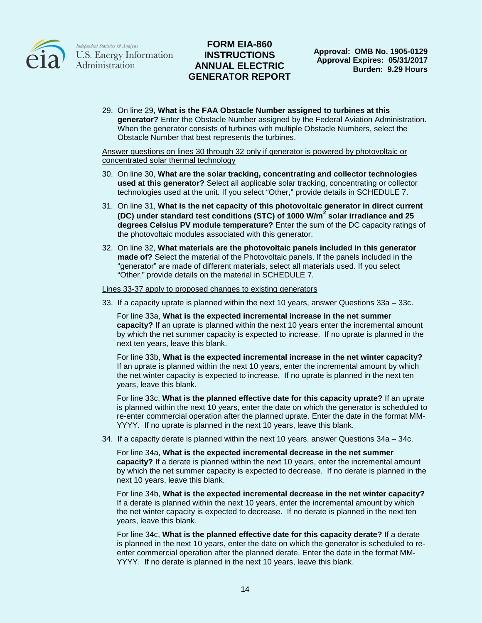

## **FORM EIA-860 INSTRUCTIONS ANNUAL ELECTRIC GENERATOR REPORT**

29. On line 29, **What is the FAA Obstacle Number assigned to turbines at this generator?** Enter the Obstacle Number assigned by the Federal Aviation Administration. When the generator consists of turbines with multiple Obstacle Numbers, select the Obstacle Number that best represents the turbines.

#### Answer questions on lines 30 through 32 only if generator is powered by photovoltaic or concentrated solar thermal technology

- 30. On line 30, **What are the solar tracking, concentrating and collector technologies used at this generator?** Select all applicable solar tracking, concentrating or collector technologies used at the unit. If you select "Other," provide details in SCHEDULE 7.
- 31. On line 31, **What is the net capacity of this photovoltaic generator in direct current (DC) under standard test conditions (STC) of 1000 W/m<sup>2</sup> solar irradiance and 25 degrees Celsius PV module temperature?** Enter the sum of the DC capacity ratings of the photovoltaic modules associated with this generator.
- 32. On line 32, **What materials are the photovoltaic panels included in this generator made of?** Select the material of the Photovoltaic panels. If the panels included in the "generator" are made of different materials, select all materials used. If you select "Other," provide details on the material in SCHEDULE 7.

#### Lines 33-37 apply to proposed changes to existing generators

33. If a capacity uprate is planned within the next 10 years, answer Questions 33a – 33c.

For line 33a, **What is the expected incremental increase in the net summer capacity?** If an uprate is planned within the next 10 years enter the incremental amount by which the net summer capacity is expected to increase. If no uprate is planned in the next ten years, leave this blank.

For line 33b, **What is the expected incremental increase in the net winter capacity?** If an uprate is planned within the next 10 years, enter the incremental amount by which the net winter capacity is expected to increase. If no uprate is planned in the next ten years, leave this blank.

For line 33c, **What is the planned effective date for this capacity uprate?** If an uprate is planned within the next 10 years, enter the date on which the generator is scheduled to re-enter commercial operation after the planned uprate. Enter the date in the format MM-YYYY. If no uprate is planned in the next 10 years, leave this blank.

34. If a capacity derate is planned within the next 10 years, answer Questions 34a – 34c.

For line 34a, **What is the expected incremental decrease in the net summer capacity?** If a derate is planned within the next 10 years, enter the incremental amount by which the net summer capacity is expected to decrease. If no derate is planned in the next 10 years, leave this blank.

For line 34b, **What is the expected incremental decrease in the net winter capacity?** If a derate is planned within the next 10 years, enter the incremental amount by which the net winter capacity is expected to decrease. If no derate is planned in the next ten years, leave this blank.

For line 34c, **What is the planned effective date for this capacity derate?** If a derate is planned in the next 10 years, enter the date on which the generator is scheduled to reenter commercial operation after the planned derate. Enter the date in the format MM-YYYY. If no derate is planned in the next 10 years, leave this blank.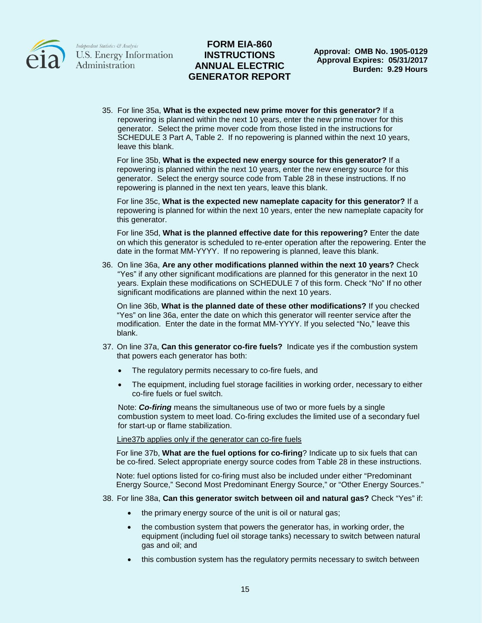

## **FORM EIA-860 INSTRUCTIONS ANNUAL ELECTRIC GENERATOR REPORT**

35. For line 35a, **What is the expected new prime mover for this generator?** If a repowering is planned within the next 10 years, enter the new prime mover for this generator. Select the prime mover code from those listed in the instructions for SCHEDULE 3 Part A, Table 2. If no repowering is planned within the next 10 years, leave this blank.

For line 35b, **What is the expected new energy source for this generator?** If a repowering is planned within the next 10 years, enter the new energy source for this generator. Select the energy source code from Table 28 in these instructions. If no repowering is planned in the next ten years, leave this blank.

For line 35c, **What is the expected new nameplate capacity for this generator?** If a repowering is planned for within the next 10 years, enter the new nameplate capacity for this generator.

For line 35d, **What is the planned effective date for this repowering?** Enter the date on which this generator is scheduled to re-enter operation after the repowering. Enter the date in the format MM-YYYY. If no repowering is planned, leave this blank.

36. On line 36a, **Are any other modifications planned within the next 10 years?** Check "Yes" if any other significant modifications are planned for this generator in the next 10 years. Explain these modifications on SCHEDULE 7 of this form. Check "No" If no other significant modifications are planned within the next 10 years.

On line 36b, **What is the planned date of these other modifications?** If you checked "Yes" on line 36a, enter the date on which this generator will reenter service after the modification. Enter the date in the format MM-YYYY. If you selected "No," leave this blank.

- 37. On line 37a, **Can this generator co-fire fuels?** Indicate yes if the combustion system that powers each generator has both:
	- The regulatory permits necessary to co-fire fuels, and
	- The equipment, including fuel storage facilities in working order, necessary to either co-fire fuels or fuel switch.

Note: *Co-firing* means the simultaneous use of two or more fuels by a single combustion system to meet load. Co-firing excludes the limited use of a secondary fuel for start-up or flame stabilization.

Line37b applies only if the generator can co-fire fuels

For line 37b, **What are the fuel options for co-firing**? Indicate up to six fuels that can be co-fired. Select appropriate energy source codes from Table 28 in these instructions.

Note: fuel options listed for co-firing must also be included under either "Predominant Energy Source," Second Most Predominant Energy Source," or "Other Energy Sources."

- 38. For line 38a, **Can this generator switch between oil and natural gas?** Check "Yes" if:
	- the primary energy source of the unit is oil or natural gas;
	- the combustion system that powers the generator has, in working order, the equipment (including fuel oil storage tanks) necessary to switch between natural gas and oil; and
	- this combustion system has the regulatory permits necessary to switch between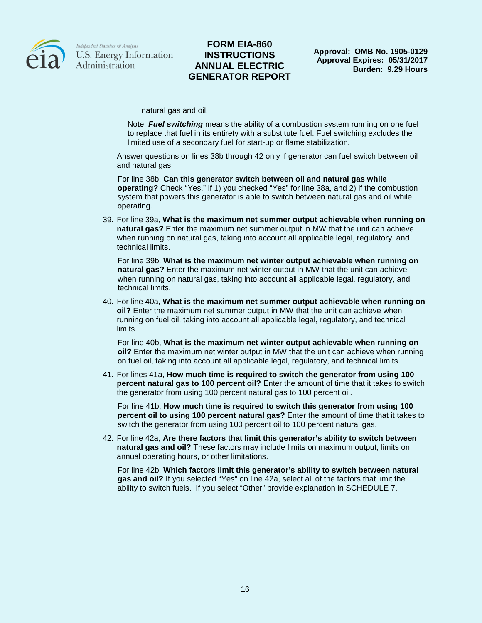

### **FORM EIA-860 INSTRUCTIONS ANNUAL ELECTRIC GENERATOR REPORT**

natural gas and oil.

Note: *Fuel switching* means the ability of a combustion system running on one fuel to replace that fuel in its entirety with a substitute fuel. Fuel switching excludes the limited use of a secondary fuel for start-up or flame stabilization.

Answer questions on lines 38b through 42 only if generator can fuel switch between oil and natural gas

For line 38b, **Can this generator switch between oil and natural gas while operating?** Check "Yes," if 1) you checked "Yes" for line 38a, and 2) if the combustion system that powers this generator is able to switch between natural gas and oil while operating.

39. For line 39a, **What is the maximum net summer output achievable when running on natural gas?** Enter the maximum net summer output in MW that the unit can achieve when running on natural gas, taking into account all applicable legal, regulatory, and technical limits.

For line 39b, **What is the maximum net winter output achievable when running on natural gas?** Enter the maximum net winter output in MW that the unit can achieve when running on natural gas, taking into account all applicable legal, regulatory, and technical limits.

40. For line 40a, **What is the maximum net summer output achievable when running on oil?** Enter the maximum net summer output in MW that the unit can achieve when running on fuel oil, taking into account all applicable legal, regulatory, and technical limits.

For line 40b, **What is the maximum net winter output achievable when running on oil?** Enter the maximum net winter output in MW that the unit can achieve when running on fuel oil, taking into account all applicable legal, regulatory, and technical limits.

41. For lines 41a, **How much time is required to switch the generator from using 100 percent natural gas to 100 percent oil?** Enter the amount of time that it takes to switch the generator from using 100 percent natural gas to 100 percent oil.

For line 41b, **How much time is required to switch this generator from using 100 percent oil to using 100 percent natural gas?** Enter the amount of time that it takes to switch the generator from using 100 percent oil to 100 percent natural gas.

42. For line 42a, **Are there factors that limit this generator's ability to switch between natural gas and oil?** These factors may include limits on maximum output, limits on annual operating hours, or other limitations.

For line 42b, **Which factors limit this generator's ability to switch between natural gas and oil?** If you selected "Yes" on line 42a, select all of the factors that limit the ability to switch fuels. If you select "Other" provide explanation in SCHEDULE 7.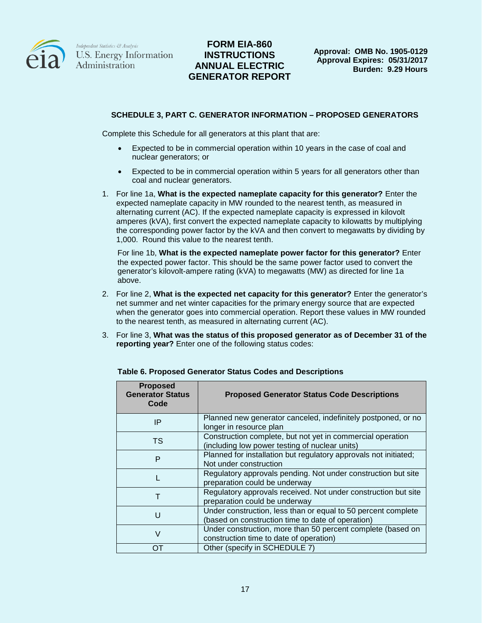

# **FORM EIA-860 INSTRUCTIONS ANNUAL ELECTRIC GENERATOR REPORT**

### **SCHEDULE 3, PART C. GENERATOR INFORMATION – PROPOSED GENERATORS**

Complete this Schedule for all generators at this plant that are:

- Expected to be in commercial operation within 10 years in the case of coal and nuclear generators; or
- Expected to be in commercial operation within 5 years for all generators other than coal and nuclear generators.
- 1. For line 1a, **What is the expected nameplate capacity for this generator?** Enter the expected nameplate capacity in MW rounded to the nearest tenth, as measured in alternating current (AC). If the expected nameplate capacity is expressed in kilovolt amperes (kVA), first convert the expected nameplate capacity to kilowatts by multiplying the corresponding power factor by the kVA and then convert to megawatts by dividing by 1,000. Round this value to the nearest tenth.

For line 1b, **What is the expected nameplate power factor for this generator?** Enter the expected power factor. This should be the same power factor used to convert the generator's kilovolt-ampere rating (kVA) to megawatts (MW) as directed for line 1a above.

- 2. For line 2, **What is the expected net capacity for this generator?** Enter the generator's net summer and net winter capacities for the primary energy source that are expected when the generator goes into commercial operation. Report these values in MW rounded to the nearest tenth, as measured in alternating current (AC).
- 3. For line 3, **What was the status of this proposed generator as of December 31 of the reporting year?** Enter one of the following status codes:

| <b>Proposed</b><br><b>Generator Status</b><br>Code | <b>Proposed Generator Status Code Descriptions</b>                                                                 |
|----------------------------------------------------|--------------------------------------------------------------------------------------------------------------------|
| IP                                                 | Planned new generator canceled, indefinitely postponed, or no<br>longer in resource plan                           |
| TS                                                 | Construction complete, but not yet in commercial operation<br>(including low power testing of nuclear units)       |
| P                                                  | Planned for installation but regulatory approvals not initiated;<br>Not under construction                         |
|                                                    | Regulatory approvals pending. Not under construction but site<br>preparation could be underway                     |
| т                                                  | Regulatory approvals received. Not under construction but site<br>preparation could be underway                    |
| U                                                  | Under construction, less than or equal to 50 percent complete<br>(based on construction time to date of operation) |
| V                                                  | Under construction, more than 50 percent complete (based on<br>construction time to date of operation)             |
|                                                    | Other (specify in SCHEDULE 7)                                                                                      |

#### **Table 6. Proposed Generator Status Codes and Descriptions**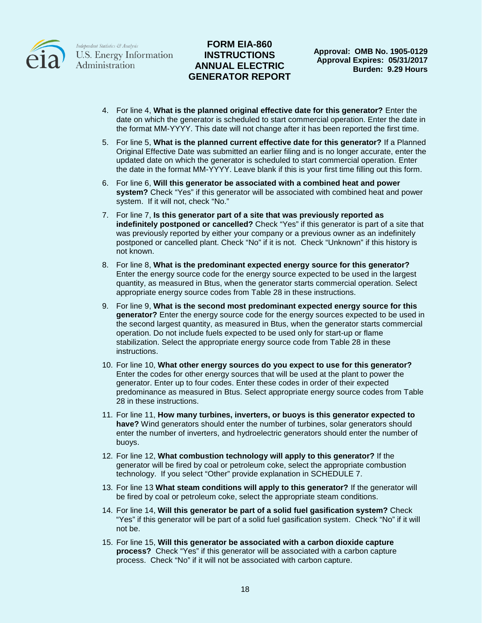

## **FORM EIA-860 INSTRUCTIONS ANNUAL ELECTRIC GENERATOR REPORT**

**Approval: OMB No. 1905-0129 Approval Expires: 05/31/2017 Burden: 9.29 Hours**

- 4. For line 4, **What is the planned original effective date for this generator?** Enter the date on which the generator is scheduled to start commercial operation. Enter the date in the format MM-YYYY. This date will not change after it has been reported the first time.
- 5. For line 5, **What is the planned current effective date for this generator?** If a Planned Original Effective Date was submitted an earlier filing and is no longer accurate, enter the updated date on which the generator is scheduled to start commercial operation. Enter the date in the format MM-YYYY. Leave blank if this is your first time filling out this form.
- 6. For line 6, **Will this generator be associated with a combined heat and power system?** Check "Yes" if this generator will be associated with combined heat and power system. If it will not, check "No."
- 7. For line 7, **Is this generator part of a site that was previously reported as indefinitely postponed or cancelled?** Check "Yes" if this generator is part of a site that was previously reported by either your company or a previous owner as an indefinitely postponed or cancelled plant. Check "No" if it is not. Check "Unknown" if this history is not known.
- 8. For line 8, **What is the predominant expected energy source for this generator?** Enter the energy source code for the energy source expected to be used in the largest quantity, as measured in Btus, when the generator starts commercial operation. Select appropriate energy source codes from Table 28 in these instructions.
- 9. For line 9, **What is the second most predominant expected energy source for this generator?** Enter the energy source code for the energy sources expected to be used in the second largest quantity, as measured in Btus, when the generator starts commercial operation. Do not include fuels expected to be used only for start-up or flame stabilization. Select the appropriate energy source code from Table 28 in these instructions.
- 10. For line 10, **What other energy sources do you expect to use for this generator?** Enter the codes for other energy sources that will be used at the plant to power the generator. Enter up to four codes. Enter these codes in order of their expected predominance as measured in Btus. Select appropriate energy source codes from Table 28 in these instructions.
- 11. For line 11, **How many turbines, inverters, or buoys is this generator expected to have?** Wind generators should enter the number of turbines, solar generators should enter the number of inverters, and hydroelectric generators should enter the number of buoys.
- 12. For line 12, **What combustion technology will apply to this generator?** If the generator will be fired by coal or petroleum coke, select the appropriate combustion technology. If you select "Other" provide explanation in SCHEDULE 7.
- 13. For line 13 **What steam conditions will apply to this generator?** If the generator will be fired by coal or petroleum coke, select the appropriate steam conditions.
- 14. For line 14, **Will this generator be part of a solid fuel gasification system?** Check "Yes" if this generator will be part of a solid fuel gasification system. Check "No" if it will not be.
- 15. For line 15, **Will this generator be associated with a carbon dioxide capture process?** Check "Yes" if this generator will be associated with a carbon capture process. Check "No" if it will not be associated with carbon capture.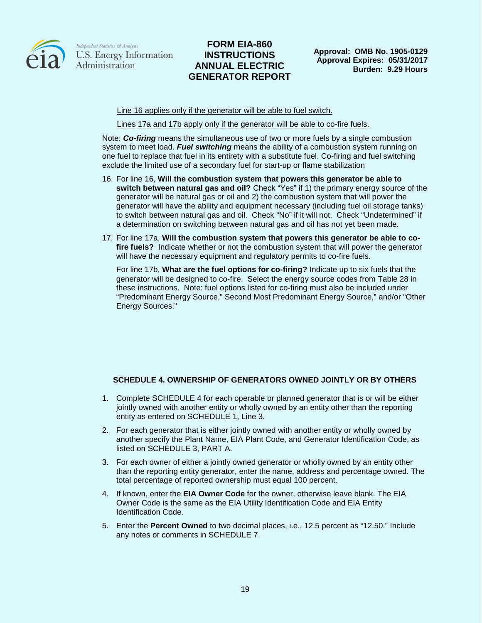

## **FORM EIA-860 INSTRUCTIONS ANNUAL ELECTRIC GENERATOR REPORT**

**Approval: OMB No. 1905-0129 Approval Expires: 05/31/2017 Burden: 9.29 Hours**

Line 16 applies only if the generator will be able to fuel switch.

Lines 17a and 17b apply only if the generator will be able to co-fire fuels.

Note: *Co-firing* means the simultaneous use of two or more fuels by a single combustion system to meet load. *Fuel switching* means the ability of a combustion system running on one fuel to replace that fuel in its entirety with a substitute fuel. Co-firing and fuel switching exclude the limited use of a secondary fuel for start-up or flame stabilization

- 16. For line 16, **Will the combustion system that powers this generator be able to switch between natural gas and oil?** Check "Yes" if 1) the primary energy source of the generator will be natural gas or oil and 2) the combustion system that will power the generator will have the ability and equipment necessary (including fuel oil storage tanks) to switch between natural gas and oil. Check "No" if it will not. Check "Undetermined" if a determination on switching between natural gas and oil has not yet been made.
- 17. For line 17a, **Will the combustion system that powers this generator be able to cofire fuels?** Indicate whether or not the combustion system that will power the generator will have the necessary equipment and regulatory permits to co-fire fuels.

For line 17b, **What are the fuel options for co-firing?** Indicate up to six fuels that the generator will be designed to co-fire. Select the energy source codes from Table 28 in these instructions. Note: fuel options listed for co-firing must also be included under "Predominant Energy Source," Second Most Predominant Energy Source," and/or "Other Energy Sources."

### **SCHEDULE 4. OWNERSHIP OF GENERATORS OWNED JOINTLY OR BY OTHERS**

- 1. Complete SCHEDULE 4 for each operable or planned generator that is or will be either jointly owned with another entity or wholly owned by an entity other than the reporting entity as entered on SCHEDULE 1, Line 3.
- 2. For each generator that is either jointly owned with another entity or wholly owned by another specify the Plant Name, EIA Plant Code, and Generator Identification Code, as listed on SCHEDULE 3, PART A.
- 3. For each owner of either a jointly owned generator or wholly owned by an entity other than the reporting entity generator, enter the name, address and percentage owned. The total percentage of reported ownership must equal 100 percent.
- 4. If known, enter the **EIA Owner Code** for the owner, otherwise leave blank. The EIA Owner Code is the same as the EIA Utility Identification Code and EIA Entity Identification Code.
- 5. Enter the **Percent Owned** to two decimal places, i.e., 12.5 percent as "12.50." Include any notes or comments in SCHEDULE 7.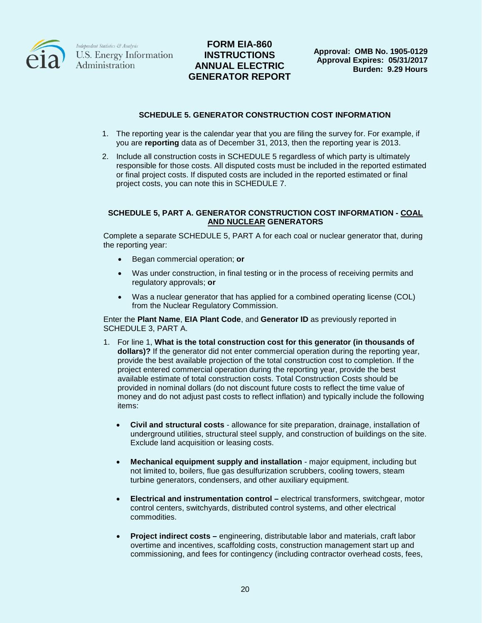

# **FORM EIA-860 INSTRUCTIONS ANNUAL ELECTRIC GENERATOR REPORT**

#### **SCHEDULE 5. GENERATOR CONSTRUCTION COST INFORMATION**

- 1. The reporting year is the calendar year that you are filing the survey for. For example, if you are **reporting** data as of December 31, 2013, then the reporting year is 2013.
- 2. Include all construction costs in SCHEDULE 5 regardless of which party is ultimately responsible for those costs. All disputed costs must be included in the reported estimated or final project costs. If disputed costs are included in the reported estimated or final project costs, you can note this in SCHEDULE 7.

#### **SCHEDULE 5, PART A. GENERATOR CONSTRUCTION COST INFORMATION - COAL AND NUCLEAR GENERATORS**

Complete a separate SCHEDULE 5, PART A for each coal or nuclear generator that, during the reporting year:

- Began commercial operation; **or**
- Was under construction, in final testing or in the process of receiving permits and regulatory approvals; **or**
- Was a nuclear generator that has applied for a combined operating license (COL) from the Nuclear Regulatory Commission.

Enter the **Plant Name**, **EIA Plant Code**, and **Generator ID** as previously reported in SCHEDULE 3, PART A.

- 1. For line 1, **What is the total construction cost for this generator (in thousands of dollars)?** If the generator did not enter commercial operation during the reporting year, provide the best available projection of the total construction cost to completion. If the project entered commercial operation during the reporting year, provide the best available estimate of total construction costs. Total Construction Costs should be provided in nominal dollars (do not discount future costs to reflect the time value of money and do not adjust past costs to reflect inflation) and typically include the following items:
	- **Civil and structural costs** allowance for site preparation, drainage, installation of underground utilities, structural steel supply, and construction of buildings on the site. Exclude land acquisition or leasing costs.
	- **Mechanical equipment supply and installation** major equipment, including but not limited to, boilers, flue gas desulfurization scrubbers, cooling towers, steam turbine generators, condensers, and other auxiliary equipment.
	- **Electrical and instrumentation control –** electrical transformers, switchgear, motor control centers, switchyards, distributed control systems, and other electrical commodities.
	- **Project indirect costs –** engineering, distributable labor and materials, craft labor overtime and incentives, scaffolding costs, construction management start up and commissioning, and fees for contingency (including contractor overhead costs, fees,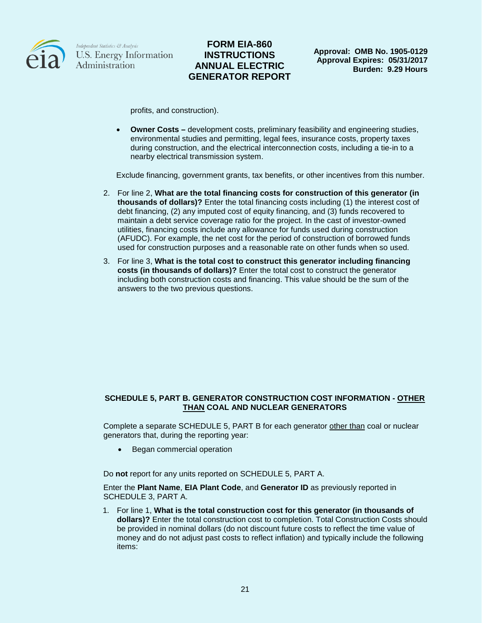

## **FORM EIA-860 INSTRUCTIONS ANNUAL ELECTRIC GENERATOR REPORT**

profits, and construction).

• **Owner Costs –** development costs, preliminary feasibility and engineering studies, environmental studies and permitting, legal fees, insurance costs, property taxes during construction, and the electrical interconnection costs, including a tie-in to a nearby electrical transmission system.

Exclude financing, government grants, tax benefits, or other incentives from this number.

- 2. For line 2, **What are the total financing costs for construction of this generator (in thousands of dollars)?** Enter the total financing costs including (1) the interest cost of debt financing, (2) any imputed cost of equity financing, and (3) funds recovered to maintain a debt service coverage ratio for the project. In the cast of investor-owned utilities, financing costs include any allowance for funds used during construction (AFUDC). For example, the net cost for the period of construction of borrowed funds used for construction purposes and a reasonable rate on other funds when so used.
- 3. For line 3, **What is the total cost to construct this generator including financing costs (in thousands of dollars)?** Enter the total cost to construct the generator including both construction costs and financing. This value should be the sum of the answers to the two previous questions.

#### **SCHEDULE 5, PART B. GENERATOR CONSTRUCTION COST INFORMATION - OTHER THAN COAL AND NUCLEAR GENERATORS**

Complete a separate SCHEDULE 5, PART B for each generator other than coal or nuclear generators that, during the reporting year:

• Began commercial operation

Do **not** report for any units reported on SCHEDULE 5, PART A.

Enter the **Plant Name**, **EIA Plant Code**, and **Generator ID** as previously reported in SCHEDULE 3, PART A.

1. For line 1, **What is the total construction cost for this generator (in thousands of dollars)?** Enter the total construction cost to completion. Total Construction Costs should be provided in nominal dollars (do not discount future costs to reflect the time value of money and do not adjust past costs to reflect inflation) and typically include the following items: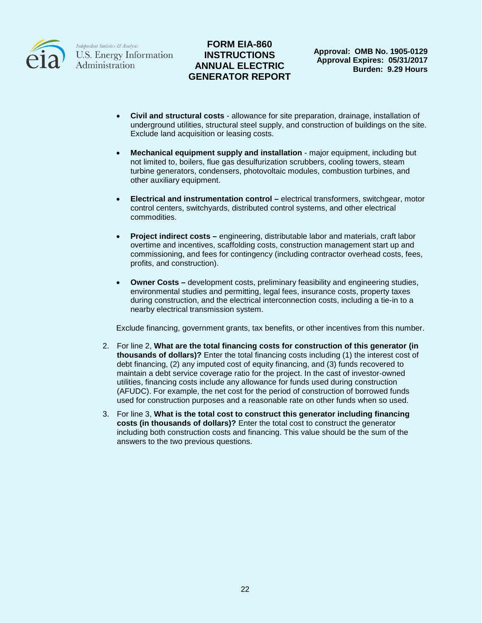

# **FORM EIA-860 INSTRUCTIONS ANNUAL ELECTRIC GENERATOR REPORT**

**Approval: OMB No. 1905-0129 Approval Expires: 05/31/2017 Burden: 9.29 Hours**

- **Civil and structural costs** allowance for site preparation, drainage, installation of underground utilities, structural steel supply, and construction of buildings on the site. Exclude land acquisition or leasing costs.
- **Mechanical equipment supply and installation** major equipment, including but not limited to, boilers, flue gas desulfurization scrubbers, cooling towers, steam turbine generators, condensers, photovoltaic modules, combustion turbines, and other auxiliary equipment.
- **Electrical and instrumentation control –** electrical transformers, switchgear, motor control centers, switchyards, distributed control systems, and other electrical commodities.
- **Project indirect costs –** engineering, distributable labor and materials, craft labor overtime and incentives, scaffolding costs, construction management start up and commissioning, and fees for contingency (including contractor overhead costs, fees, profits, and construction).
- **Owner Costs –** development costs, preliminary feasibility and engineering studies, environmental studies and permitting, legal fees, insurance costs, property taxes during construction, and the electrical interconnection costs, including a tie-in to a nearby electrical transmission system.

Exclude financing, government grants, tax benefits, or other incentives from this number.

- 2. For line 2, **What are the total financing costs for construction of this generator (in thousands of dollars)?** Enter the total financing costs including (1) the interest cost of debt financing, (2) any imputed cost of equity financing, and (3) funds recovered to maintain a debt service coverage ratio for the project. In the cast of investor-owned utilities, financing costs include any allowance for funds used during construction (AFUDC). For example, the net cost for the period of construction of borrowed funds used for construction purposes and a reasonable rate on other funds when so used.
- 3. For line 3, **What is the total cost to construct this generator including financing costs (in thousands of dollars)?** Enter the total cost to construct the generator including both construction costs and financing. This value should be the sum of the answers to the two previous questions.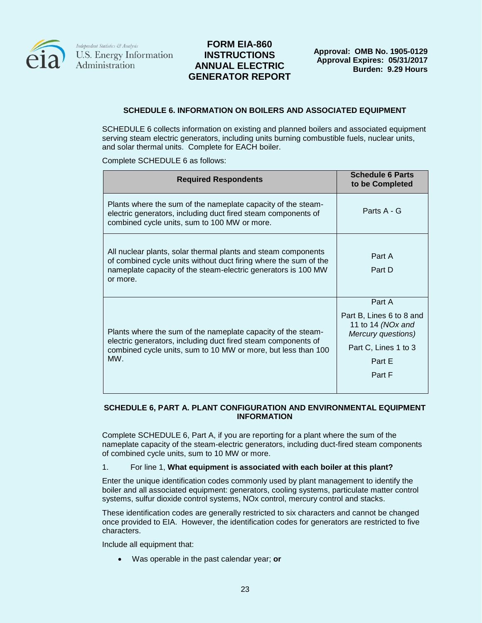

## **FORM EIA-860 INSTRUCTIONS ANNUAL ELECTRIC GENERATOR REPORT**

#### **SCHEDULE 6. INFORMATION ON BOILERS AND ASSOCIATED EQUIPMENT**

SCHEDULE 6 collects information on existing and planned boilers and associated equipment serving steam electric generators, including units burning combustible fuels, nuclear units, and solar thermal units. Complete for EACH boiler.

Complete SCHEDULE 6 as follows:

| <b>Required Respondents</b>                                                                                                                                                                                    | <b>Schedule 6 Parts</b><br>to be Completed                                                                                |
|----------------------------------------------------------------------------------------------------------------------------------------------------------------------------------------------------------------|---------------------------------------------------------------------------------------------------------------------------|
| Plants where the sum of the nameplate capacity of the steam-<br>electric generators, including duct fired steam components of<br>combined cycle units, sum to 100 MW or more.                                  | Parts A - G                                                                                                               |
| All nuclear plants, solar thermal plants and steam components<br>of combined cycle units without duct firing where the sum of the<br>nameplate capacity of the steam-electric generators is 100 MW<br>or more. | Part A<br>Part D                                                                                                          |
| Plants where the sum of the nameplate capacity of the steam-<br>electric generators, including duct fired steam components of<br>combined cycle units, sum to 10 MW or more, but less than 100<br>$MW_{-}$     | Part A<br>Part B, Lines 6 to 8 and<br>11 to 14 (NOx and<br>Mercury questions)<br>Part C, Lines 1 to 3<br>Part E<br>Part F |

#### **SCHEDULE 6, PART A. PLANT CONFIGURATION AND ENVIRONMENTAL EQUIPMENT INFORMATION**

Complete SCHEDULE 6, Part A, if you are reporting for a plant where the sum of the nameplate capacity of the steam-electric generators, including duct-fired steam components of combined cycle units, sum to 10 MW or more.

#### 1. For line 1, **What equipment is associated with each boiler at this plant?**

Enter the unique identification codes commonly used by plant management to identify the boiler and all associated equipment: generators, cooling systems, particulate matter control systems, sulfur dioxide control systems, NOx control, mercury control and stacks.

These identification codes are generally restricted to six characters and cannot be changed once provided to EIA. However, the identification codes for generators are restricted to five characters.

Include all equipment that:

• Was operable in the past calendar year; **or**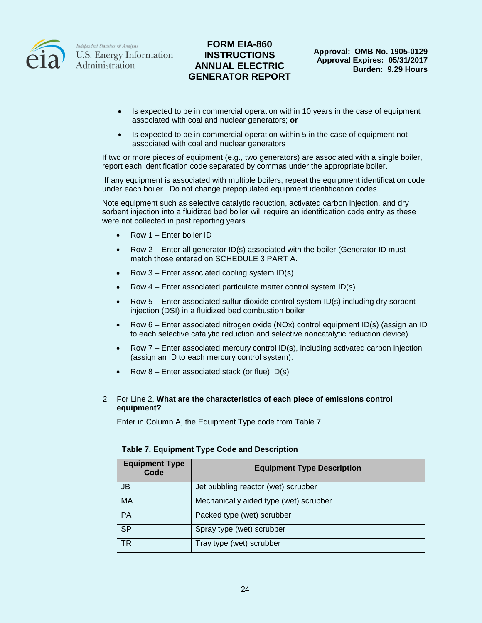

## **FORM EIA-860 INSTRUCTIONS ANNUAL ELECTRIC GENERATOR REPORT**

- Is expected to be in commercial operation within 10 years in the case of equipment associated with coal and nuclear generators; **or**
- Is expected to be in commercial operation within 5 in the case of equipment not associated with coal and nuclear generators

If two or more pieces of equipment (e.g., two generators) are associated with a single boiler, report each identification code separated by commas under the appropriate boiler.

If any equipment is associated with multiple boilers, repeat the equipment identification code under each boiler. Do not change prepopulated equipment identification codes.

Note equipment such as selective catalytic reduction, activated carbon injection, and dry sorbent injection into a fluidized bed boiler will require an identification code entry as these were not collected in past reporting years.

- Row 1 Enter boiler ID
- Row  $2$  Enter all generator ID(s) associated with the boiler (Generator ID must match those entered on SCHEDULE 3 PART A.
- Row  $3$  Enter associated cooling system ID(s)
- Row 4 Enter associated particulate matter control system ID(s)
- Row 5 Enter associated sulfur dioxide control system ID(s) including dry sorbent injection (DSI) in a fluidized bed combustion boiler
- Row 6 Enter associated nitrogen oxide (NOx) control equipment ID(s) (assign an ID to each selective catalytic reduction and selective noncatalytic reduction device).
- Row  $7$  Enter associated mercury control ID(s), including activated carbon injection (assign an ID to each mercury control system).
- Row  $8$  Enter associated stack (or flue) ID(s)

#### 2. For Line 2, **What are the characteristics of each piece of emissions control equipment?**

Enter in Column A, the Equipment Type code from Table 7.

| <b>Table 7. Equipment Type Code and Description</b> |  |
|-----------------------------------------------------|--|
|-----------------------------------------------------|--|

| <b>Equipment Type</b><br>Code | <b>Equipment Type Description</b>      |
|-------------------------------|----------------------------------------|
| JB                            | Jet bubbling reactor (wet) scrubber    |
| MA                            | Mechanically aided type (wet) scrubber |
| <b>PA</b>                     | Packed type (wet) scrubber             |
| <b>SP</b>                     | Spray type (wet) scrubber              |
| ТR                            | Tray type (wet) scrubber               |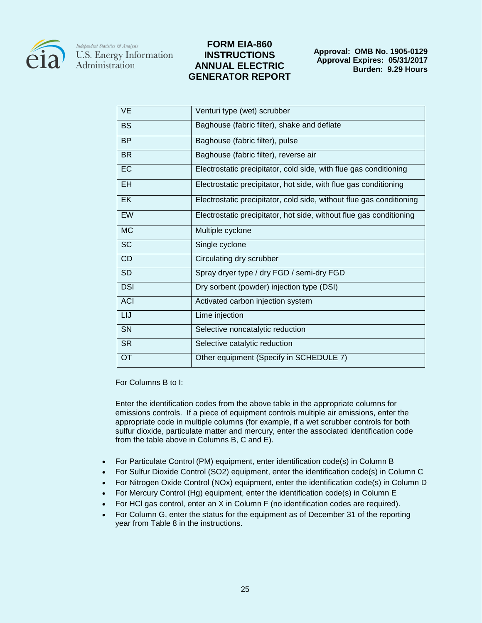

## **FORM EIA-860 INSTRUCTIONS ANNUAL ELECTRIC GENERATOR REPORT**

| <b>VE</b>  | Venturi type (wet) scrubber                                          |
|------------|----------------------------------------------------------------------|
| <b>BS</b>  | Baghouse (fabric filter), shake and deflate                          |
| <b>BP</b>  | Baghouse (fabric filter), pulse                                      |
| <b>BR</b>  | Baghouse (fabric filter), reverse air                                |
| EC         | Electrostatic precipitator, cold side, with flue gas conditioning    |
| EH         | Electrostatic precipitator, hot side, with flue gas conditioning     |
| EK         | Electrostatic precipitator, cold side, without flue gas conditioning |
| EW         | Electrostatic precipitator, hot side, without flue gas conditioning  |
| <b>MC</b>  | Multiple cyclone                                                     |
| <b>SC</b>  | Single cyclone                                                       |
| <b>CD</b>  | Circulating dry scrubber                                             |
| <b>SD</b>  | Spray dryer type / dry FGD / semi-dry FGD                            |
| <b>DSI</b> | Dry sorbent (powder) injection type (DSI)                            |
| <b>ACI</b> | Activated carbon injection system                                    |
| LIJ        | Lime injection                                                       |
| SN         | Selective noncatalytic reduction                                     |
| <b>SR</b>  | Selective catalytic reduction                                        |
| OT         | Other equipment (Specify in SCHEDULE 7)                              |

For Columns B to I:

Enter the identification codes from the above table in the appropriate columns for emissions controls. If a piece of equipment controls multiple air emissions, enter the appropriate code in multiple columns (for example, if a wet scrubber controls for both sulfur dioxide, particulate matter and mercury, enter the associated identification code from the table above in Columns B, C and E).

- For Particulate Control (PM) equipment, enter identification code(s) in Column B
- For Sulfur Dioxide Control (SO2) equipment, enter the identification code(s) in Column C
- For Nitrogen Oxide Control (NOx) equipment, enter the identification code(s) in Column D
- For Mercury Control (Hg) equipment, enter the identification code(s) in Column E
- For HCI gas control, enter an X in Column F (no identification codes are required).
- For Column G, enter the status for the equipment as of December 31 of the reporting year from Table 8 in the instructions.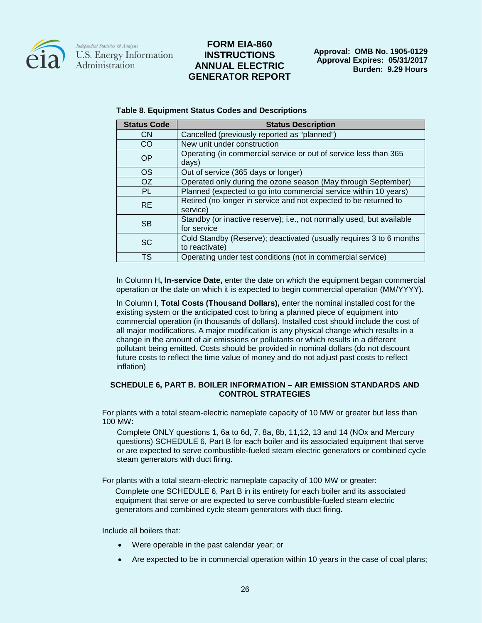

### **FORM EIA-860 INSTRUCTIONS ANNUAL ELECTRIC GENERATOR REPORT**

| <b>Status Code</b> | <b>Status Description</b>                                                             |
|--------------------|---------------------------------------------------------------------------------------|
| <b>CN</b>          | Cancelled (previously reported as "planned")                                          |
| CO.                | New unit under construction                                                           |
| <b>OP</b>          | Operating (in commercial service or out of service less than 365<br>days)             |
| OS.                | Out of service (365 days or longer)                                                   |
| OZ                 | Operated only during the ozone season (May through September)                         |
| <b>PL</b>          | Planned (expected to go into commercial service within 10 years)                      |
| <b>RE</b>          | Retired (no longer in service and not expected to be returned to<br>service)          |
| <b>SB</b>          | Standby (or inactive reserve); i.e., not normally used, but available<br>for service  |
| <b>SC</b>          | Cold Standby (Reserve); deactivated (usually requires 3 to 6 months<br>to reactivate) |
| <b>TS</b>          | Operating under test conditions (not in commercial service)                           |

#### **Table 8. Equipment Status Codes and Descriptions**

In Column H**, In-service Date,** enter the date on which the equipment began commercial operation or the date on which it is expected to begin commercial operation (MM/YYYY).

In Column I, **Total Costs (Thousand Dollars),** enter the nominal installed cost for the existing system or the anticipated cost to bring a planned piece of equipment into commercial operation (in thousands of dollars). Installed cost should include the cost of all major modifications. A major modification is any physical change which results in a change in the amount of air emissions or pollutants or which results in a different pollutant being emitted. Costs should be provided in nominal dollars (do not discount future costs to reflect the time value of money and do not adjust past costs to reflect inflation)

#### **SCHEDULE 6, PART B. BOILER INFORMATION – AIR EMISSION STANDARDS AND CONTROL STRATEGIES**

For plants with a total steam-electric nameplate capacity of 10 MW or greater but less than 100 MW:

Complete ONLY questions 1, 6a to 6d, 7, 8a, 8b, 11,12, 13 and 14 (NOx and Mercury questions) SCHEDULE 6, Part B for each boiler and its associated equipment that serve or are expected to serve combustible-fueled steam electric generators or combined cycle steam generators with duct firing.

For plants with a total steam-electric nameplate capacity of 100 MW or greater:

Complete one SCHEDULE 6, Part B in its entirety for each boiler and its associated equipment that serve or are expected to serve combustible-fueled steam electric generators and combined cycle steam generators with duct firing.

Include all boilers that:

- Were operable in the past calendar year; or
- Are expected to be in commercial operation within 10 years in the case of coal plans;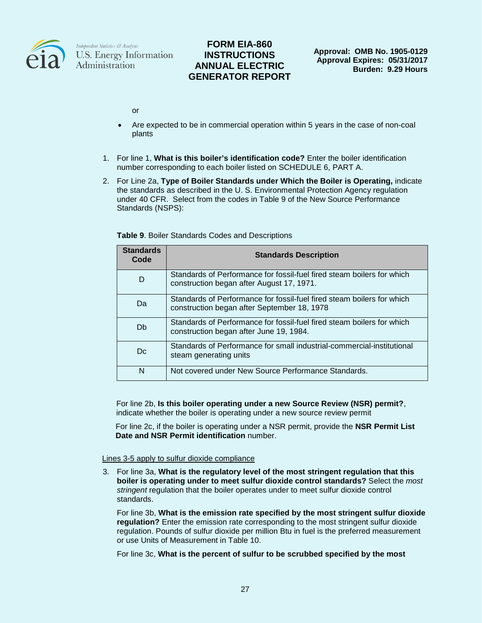

## **FORM EIA-860 INSTRUCTIONS ANNUAL ELECTRIC GENERATOR REPORT**

or

- Are expected to be in commercial operation within 5 years in the case of non-coal plants
- 1. For line 1, **What is this boiler's identification code?** Enter the boiler identification number corresponding to each boiler listed on SCHEDULE 6, PART A.
- 2. For Line 2a, **Type of Boiler Standards under Which the Boiler is Operating,** indicate the standards as described in the U. S. Environmental Protection Agency regulation under 40 CFR. Select from the codes in Table 9 of the New Source Performance Standards (NSPS):

| <b>Standards</b><br>Code | <b>Standards Description</b>                                                                                          |
|--------------------------|-----------------------------------------------------------------------------------------------------------------------|
| D                        | Standards of Performance for fossil-fuel fired steam boilers for which<br>construction began after August 17, 1971.   |
| Da                       | Standards of Performance for fossil-fuel fired steam boilers for which<br>construction began after September 18, 1978 |
| Db                       | Standards of Performance for fossil-fuel fired steam boilers for which<br>construction began after June 19, 1984.     |
| Dc.                      | Standards of Performance for small industrial-commercial-institutional<br>steam generating units                      |
| N                        | Not covered under New Source Performance Standards.                                                                   |

**Table 9**. Boiler Standards Codes and Descriptions

For line 2b, **Is this boiler operating under a new Source Review (NSR) permit?**, indicate whether the boiler is operating under a new source review permit

For line 2c, if the boiler is operating under a NSR permit, provide the **NSR Permit List Date and NSR Permit identification** number.

#### Lines 3-5 apply to sulfur dioxide compliance

3. For line 3a, **What is the regulatory level of the most stringent regulation that this boiler is operating under to meet sulfur dioxide control standards?** Select the *most stringent* regulation that the boiler operates under to meet sulfur dioxide control standards.

For line 3b, **What is the emission rate specified by the most stringent sulfur dioxide regulation?** Enter the emission rate corresponding to the most stringent sulfur dioxide regulation. Pounds of sulfur dioxide per million Btu in fuel is the preferred measurement or use Units of Measurement in Table 10.

For line 3c, **What is the percent of sulfur to be scrubbed specified by the most**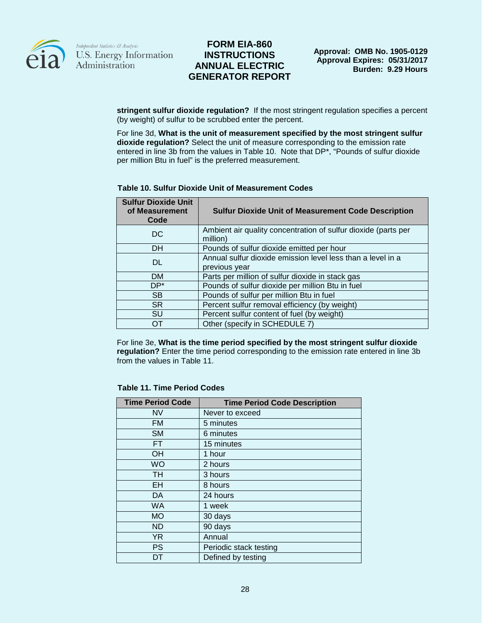

## **FORM EIA-860 INSTRUCTIONS ANNUAL ELECTRIC GENERATOR REPORT**

**stringent sulfur dioxide regulation?** If the most stringent regulation specifies a percent (by weight) of sulfur to be scrubbed enter the percent.

For line 3d, **What is the unit of measurement specified by the most stringent sulfur dioxide regulation?** Select the unit of measure corresponding to the emission rate entered in line 3b from the values in Table 10. Note that DP\*, "Pounds of sulfur dioxide per million Btu in fuel" is the preferred measurement.

#### **Table 10. Sulfur Dioxide Unit of Measurement Codes**

| <b>Sulfur Dioxide Unit</b><br>of Measurement<br>Code | <b>Sulfur Dioxide Unit of Measurement Code Description</b>                   |
|------------------------------------------------------|------------------------------------------------------------------------------|
| DC.                                                  | Ambient air quality concentration of sulfur dioxide (parts per<br>million)   |
| <b>DH</b>                                            | Pounds of sulfur dioxide emitted per hour                                    |
| <b>DL</b>                                            | Annual sulfur dioxide emission level less than a level in a<br>previous year |
| <b>DM</b>                                            | Parts per million of sulfur dioxide in stack gas                             |
| $DP^*$                                               | Pounds of sulfur dioxide per million Btu in fuel                             |
| <b>SB</b>                                            | Pounds of sulfur per million Btu in fuel                                     |
| <b>SR</b>                                            | Percent sulfur removal efficiency (by weight)                                |
| <b>SU</b>                                            | Percent sulfur content of fuel (by weight)                                   |
| OТ                                                   | Other (specify in SCHEDULE 7)                                                |

For line 3e, **What is the time period specified by the most stringent sulfur dioxide regulation?** Enter the time period corresponding to the emission rate entered in line 3b from the values in Table 11.

#### **Table 11. Time Period Codes**

| <b>Time Period Code</b> | <b>Time Period Code Description</b> |
|-------------------------|-------------------------------------|
| <b>NV</b>               | Never to exceed                     |
| <b>FM</b>               | 5 minutes                           |
| <b>SM</b>               | 6 minutes                           |
| FT.                     | 15 minutes                          |
| OН                      | 1 hour                              |
| <b>WO</b>               | 2 hours                             |
| TH                      | 3 hours                             |
| EH                      | 8 hours                             |
| DA                      | 24 hours                            |
| <b>WA</b>               | 1 week                              |
| <b>MO</b>               | 30 days                             |
| <b>ND</b>               | 90 days                             |
| YR.                     | Annual                              |
| <b>PS</b>               | Periodic stack testing              |
| DТ                      | Defined by testing                  |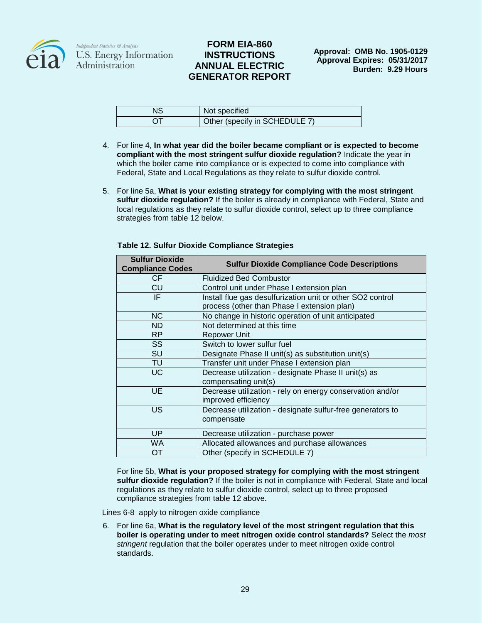

# **FORM EIA-860 INSTRUCTIONS ANNUAL ELECTRIC GENERATOR REPORT**

| ΝS | Not specified                 |
|----|-------------------------------|
|    | Other (specify in SCHEDULE 7) |

- 4. For line 4, **In what year did the boiler became compliant or is expected to become compliant with the most stringent sulfur dioxide regulation?** Indicate the year in which the boiler came into compliance or is expected to come into compliance with Federal, State and Local Regulations as they relate to sulfur dioxide control.
- 5. For line 5a, **What is your existing strategy for complying with the most stringent sulfur dioxide regulation?** If the boiler is already in compliance with Federal, State and local regulations as they relate to sulfur dioxide control, select up to three compliance strategies from table 12 below.

| <b>Sulfur Dioxide</b><br><b>Compliance Codes</b> | <b>Sulfur Dioxide Compliance Code Descriptions</b>                                                        |
|--------------------------------------------------|-----------------------------------------------------------------------------------------------------------|
| CF.                                              | <b>Fluidized Bed Combustor</b>                                                                            |
| CU                                               | Control unit under Phase I extension plan                                                                 |
| IF.                                              | Install flue gas desulfurization unit or other SO2 control<br>process (other than Phase I extension plan) |
| <b>NC</b>                                        | No change in historic operation of unit anticipated                                                       |
| <b>ND</b>                                        | Not determined at this time                                                                               |
| <b>RP</b>                                        | Repower Unit                                                                                              |
| <b>SS</b>                                        | Switch to lower sulfur fuel                                                                               |
| SU                                               | Designate Phase II unit(s) as substitution unit(s)                                                        |
| TU                                               | Transfer unit under Phase I extension plan                                                                |
| <b>UC</b>                                        | Decrease utilization - designate Phase II unit(s) as<br>compensating unit(s)                              |
| UE                                               | Decrease utilization - rely on energy conservation and/or<br>improved efficiency                          |
| US                                               | Decrease utilization - designate sulfur-free generators to<br>compensate                                  |
| UP                                               | Decrease utilization - purchase power                                                                     |
| <b>WA</b>                                        | Allocated allowances and purchase allowances                                                              |
| ОT                                               | Other (specify in SCHEDULE 7)                                                                             |

**Table 12. Sulfur Dioxide Compliance Strategies**

For line 5b, **What is your proposed strategy for complying with the most stringent sulfur dioxide regulation?** If the boiler is not in compliance with Federal, State and local regulations as they relate to sulfur dioxide control, select up to three proposed compliance strategies from table 12 above.

Lines 6-8 apply to nitrogen oxide compliance

6. For line 6a, **What is the regulatory level of the most stringent regulation that this boiler is operating under to meet nitrogen oxide control standards?** Select the *most stringent* regulation that the boiler operates under to meet nitrogen oxide control standards.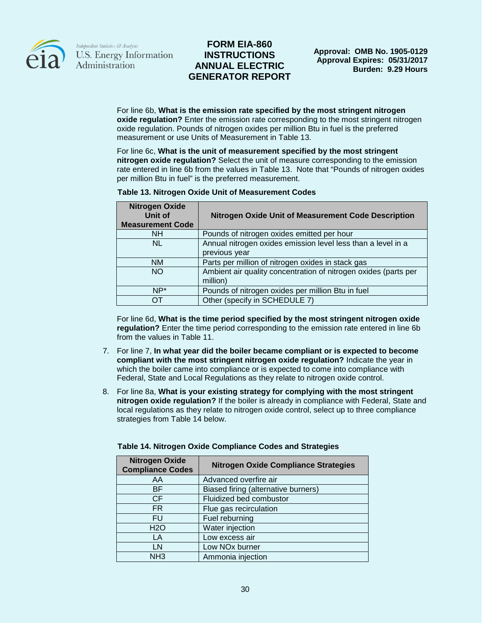

## **FORM EIA-860 INSTRUCTIONS ANNUAL ELECTRIC GENERATOR REPORT**

For line 6b, **What is the emission rate specified by the most stringent nitrogen oxide regulation?** Enter the emission rate corresponding to the most stringent nitrogen oxide regulation. Pounds of nitrogen oxides per million Btu in fuel is the preferred measurement or use Units of Measurement in Table 13.

For line 6c, **What is the unit of measurement specified by the most stringent nitrogen oxide regulation?** Select the unit of measure corresponding to the emission rate entered in line 6b from the values in Table 13. Note that "Pounds of nitrogen oxides per million Btu in fuel" is the preferred measurement.

| <b>Table 13. Nitrogen Oxide Unit of Measurement Codes</b> |  |
|-----------------------------------------------------------|--|
|                                                           |  |

| <b>Nitrogen Oxide</b><br>Unit of<br><b>Measurement Code</b> | <b>Nitrogen Oxide Unit of Measurement Code Description</b>                    |
|-------------------------------------------------------------|-------------------------------------------------------------------------------|
| <b>NH</b>                                                   | Pounds of nitrogen oxides emitted per hour                                    |
| NL.                                                         | Annual nitrogen oxides emission level less than a level in a<br>previous year |
| ΝM                                                          | Parts per million of nitrogen oxides in stack gas                             |
| <b>NO</b>                                                   | Ambient air quality concentration of nitrogen oxides (parts per<br>million)   |
| $NP*$                                                       | Pounds of nitrogen oxides per million Btu in fuel                             |
| OΤ                                                          | Other (specify in SCHEDULE 7)                                                 |

For line 6d, **What is the time period specified by the most stringent nitrogen oxide regulation?** Enter the time period corresponding to the emission rate entered in line 6b from the values in Table 11.

- 7. For line 7, **In what year did the boiler became compliant or is expected to become compliant with the most stringent nitrogen oxide regulation?** Indicate the year in which the boiler came into compliance or is expected to come into compliance with Federal, State and Local Regulations as they relate to nitrogen oxide control.
- 8. For line 8a, **What is your existing strategy for complying with the most stringent nitrogen oxide regulation?** If the boiler is already in compliance with Federal, State and local regulations as they relate to nitrogen oxide control, select up to three compliance strategies from Table 14 below.

| <b>Nitrogen Oxide</b><br><b>Compliance Codes</b> | <b>Nitrogen Oxide Compliance Strategies</b> |
|--------------------------------------------------|---------------------------------------------|
| AA                                               | Advanced overfire air                       |
| BF.                                              | Biased firing (alternative burners)         |
| <b>CF</b>                                        | Fluidized bed combustor                     |
| FR.                                              | Flue gas recirculation                      |
| <b>FU</b>                                        | Fuel reburning                              |
| H <sub>2</sub> O                                 | Water injection                             |
| LA                                               | Low excess air                              |
| LN                                               | Low NO <sub>x</sub> burner                  |
| NH <sub>3</sub>                                  | Ammonia injection                           |

#### **Table 14. Nitrogen Oxide Compliance Codes and Strategies**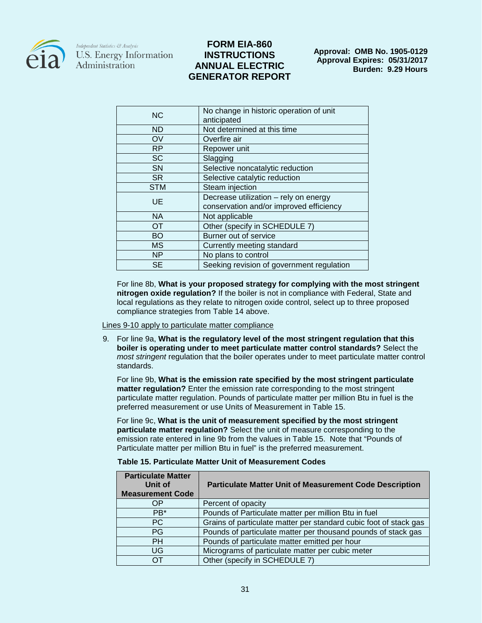

# **FORM EIA-860 INSTRUCTIONS ANNUAL ELECTRIC GENERATOR REPORT**

**Approval: OMB No. 1905-0129 Approval Expires: 05/31/2017 Burden: 9.29 Hours**

| <b>NC</b>  | No change in historic operation of unit<br>anticipated                           |
|------------|----------------------------------------------------------------------------------|
| ND         | Not determined at this time                                                      |
| OV         | Overfire air                                                                     |
| <b>RP</b>  | Repower unit                                                                     |
| <b>SC</b>  | Slagging                                                                         |
| SN         | Selective noncatalytic reduction                                                 |
| <b>SR</b>  | Selective catalytic reduction                                                    |
| <b>STM</b> | Steam injection                                                                  |
| UE         | Decrease utilization - rely on energy<br>conservation and/or improved efficiency |
| <b>NA</b>  | Not applicable                                                                   |
| <b>OT</b>  | Other (specify in SCHEDULE 7)                                                    |
| <b>BO</b>  | Burner out of service                                                            |
| <b>MS</b>  | Currently meeting standard                                                       |
| <b>NP</b>  | No plans to control                                                              |
| <b>SE</b>  | Seeking revision of government regulation                                        |
|            |                                                                                  |

For line 8b, **What is your proposed strategy for complying with the most stringent nitrogen oxide regulation?** If the boiler is not in compliance with Federal, State and local regulations as they relate to nitrogen oxide control, select up to three proposed compliance strategies from Table 14 above.

Lines 9-10 apply to particulate matter compliance

9. For line 9a, **What is the regulatory level of the most stringent regulation that this boiler is operating under to meet particulate matter control standards?** Select the *most stringent* regulation that the boiler operates under to meet particulate matter control standards.

For line 9b, **What is the emission rate specified by the most stringent particulate matter regulation?** Enter the emission rate corresponding to the most stringent particulate matter regulation. Pounds of particulate matter per million Btu in fuel is the preferred measurement or use Units of Measurement in Table 15.

For line 9c, **What is the unit of measurement specified by the most stringent particulate matter regulation?** Select the unit of measure corresponding to the emission rate entered in line 9b from the values in Table 15. Note that "Pounds of Particulate matter per million Btu in fuel" is the preferred measurement.

| Table 15. Particulate Matter Unit of Measurement Codes |  |  |
|--------------------------------------------------------|--|--|
|                                                        |  |  |

| <b>Particulate Matter</b><br>Unit of<br><b>Measurement Code</b> | <b>Particulate Matter Unit of Measurement Code Description</b>    |
|-----------------------------------------------------------------|-------------------------------------------------------------------|
| OΡ                                                              | Percent of opacity                                                |
| PB <sup>*</sup>                                                 | Pounds of Particulate matter per million Btu in fuel              |
| PC.                                                             | Grains of particulate matter per standard cubic foot of stack gas |
| <b>PG</b>                                                       | Pounds of particulate matter per thousand pounds of stack gas     |
| PH.                                                             | Pounds of particulate matter emitted per hour                     |
| UG                                                              | Micrograms of particulate matter per cubic meter                  |
| OТ                                                              | Other (specify in SCHEDULE 7)                                     |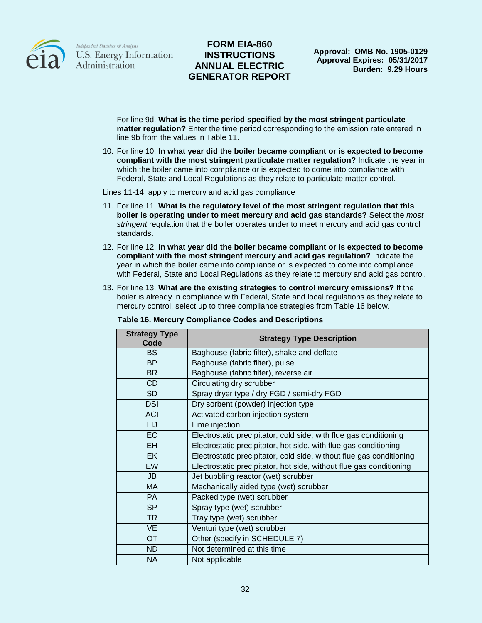

# **FORM EIA-860 INSTRUCTIONS ANNUAL ELECTRIC GENERATOR REPORT**

**Approval: OMB No. 1905-0129 Approval Expires: 05/31/2017 Burden: 9.29 Hours**

For line 9d, **What is the time period specified by the most stringent particulate matter regulation?** Enter the time period corresponding to the emission rate entered in line 9b from the values in Table 11.

10. For line 10, **In what year did the boiler became compliant or is expected to become compliant with the most stringent particulate matter regulation?** Indicate the year in which the boiler came into compliance or is expected to come into compliance with Federal, State and Local Regulations as they relate to particulate matter control.

#### Lines 11-14 apply to mercury and acid gas compliance

- 11. For line 11, **What is the regulatory level of the most stringent regulation that this boiler is operating under to meet mercury and acid gas standards?** Select the *most stringent* regulation that the boiler operates under to meet mercury and acid gas control standards.
- 12. For line 12, **In what year did the boiler became compliant or is expected to become compliant with the most stringent mercury and acid gas regulation?** Indicate the year in which the boiler came into compliance or is expected to come into compliance with Federal, State and Local Regulations as they relate to mercury and acid gas control.
- 13. For line 13, **What are the existing strategies to control mercury emissions?** If the boiler is already in compliance with Federal, State and local regulations as they relate to mercury control, select up to three compliance strategies from Table 16 below.

| <b>Strategy Type</b><br>Code | <b>Strategy Type Description</b>                                     |
|------------------------------|----------------------------------------------------------------------|
| <b>BS</b>                    | Baghouse (fabric filter), shake and deflate                          |
| <b>BP</b>                    | Baghouse (fabric filter), pulse                                      |
| <b>BR</b>                    | Baghouse (fabric filter), reverse air                                |
| CD                           | Circulating dry scrubber                                             |
| <b>SD</b>                    | Spray dryer type / dry FGD / semi-dry FGD                            |
| <b>DSI</b>                   | Dry sorbent (powder) injection type                                  |
| <b>ACI</b>                   | Activated carbon injection system                                    |
| LIJ                          | Lime injection                                                       |
| <b>EC</b>                    | Electrostatic precipitator, cold side, with flue gas conditioning    |
| <b>EH</b>                    | Electrostatic precipitator, hot side, with flue gas conditioning     |
| <b>EK</b>                    | Electrostatic precipitator, cold side, without flue gas conditioning |
| EW                           | Electrostatic precipitator, hot side, without flue gas conditioning  |
| JB                           | Jet bubbling reactor (wet) scrubber                                  |
| <b>MA</b>                    | Mechanically aided type (wet) scrubber                               |
| <b>PA</b>                    | Packed type (wet) scrubber                                           |
| <b>SP</b>                    | Spray type (wet) scrubber                                            |
| <b>TR</b>                    | Tray type (wet) scrubber                                             |
| <b>VE</b>                    | Venturi type (wet) scrubber                                          |
| <b>OT</b>                    | Other (specify in SCHEDULE 7)                                        |
| <b>ND</b>                    | Not determined at this time                                          |
| <b>NA</b>                    | Not applicable                                                       |

#### **Table 16. Mercury Compliance Codes and Descriptions**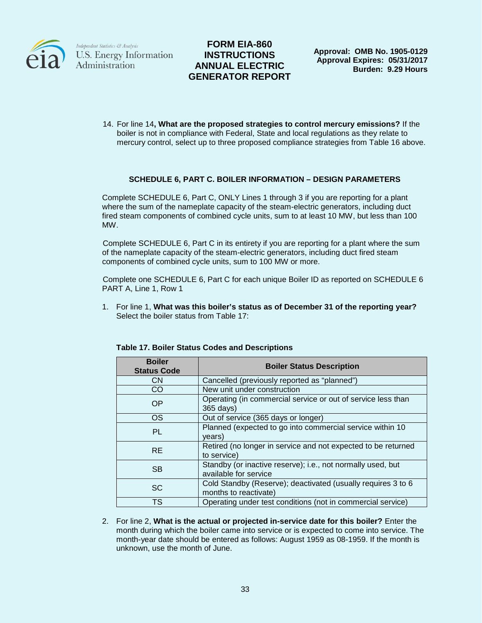

# **FORM EIA-860 INSTRUCTIONS ANNUAL ELECTRIC GENERATOR REPORT**

**Approval: OMB No. 1905-0129 Approval Expires: 05/31/2017 Burden: 9.29 Hours**

14. For line 14**, What are the proposed strategies to control mercury emissions?** If the boiler is not in compliance with Federal, State and local regulations as they relate to mercury control, select up to three proposed compliance strategies from Table 16 above.

### **SCHEDULE 6, PART C. BOILER INFORMATION – DESIGN PARAMETERS**

Complete SCHEDULE 6, Part C, ONLY Lines 1 through 3 if you are reporting for a plant where the sum of the nameplate capacity of the steam-electric generators, including duct fired steam components of combined cycle units, sum to at least 10 MW, but less than 100 MW.

Complete SCHEDULE 6, Part C in its entirety if you are reporting for a plant where the sum of the nameplate capacity of the steam-electric generators, including duct fired steam components of combined cycle units, sum to 100 MW or more.

Complete one SCHEDULE 6, Part C for each unique Boiler ID as reported on SCHEDULE 6 PART A, Line 1, Row 1

1. For line 1, **What was this boiler's status as of December 31 of the reporting year?**  Select the boiler status from Table 17:

| <b>Boiler</b><br><b>Status Code</b> | <b>Boiler Status Description</b>                                                      |
|-------------------------------------|---------------------------------------------------------------------------------------|
| <b>CN</b>                           | Cancelled (previously reported as "planned")                                          |
| CO                                  | New unit under construction                                                           |
| <b>OP</b>                           | Operating (in commercial service or out of service less than<br>365 days)             |
| <b>OS</b>                           | Out of service (365 days or longer)                                                   |
| <b>PL</b>                           | Planned (expected to go into commercial service within 10<br>years)                   |
| <b>RE</b>                           | Retired (no longer in service and not expected to be returned<br>to service)          |
| <b>SB</b>                           | Standby (or inactive reserve); i.e., not normally used, but<br>available for service  |
| <b>SC</b>                           | Cold Standby (Reserve); deactivated (usually requires 3 to 6<br>months to reactivate) |
| <b>TS</b>                           | Operating under test conditions (not in commercial service)                           |

#### **Table 17. Boiler Status Codes and Descriptions**

2. For line 2, **What is the actual or projected in-service date for this boiler?** Enter the month during which the boiler came into service or is expected to come into service. The month-year date should be entered as follows: August 1959 as 08-1959. If the month is unknown, use the month of June.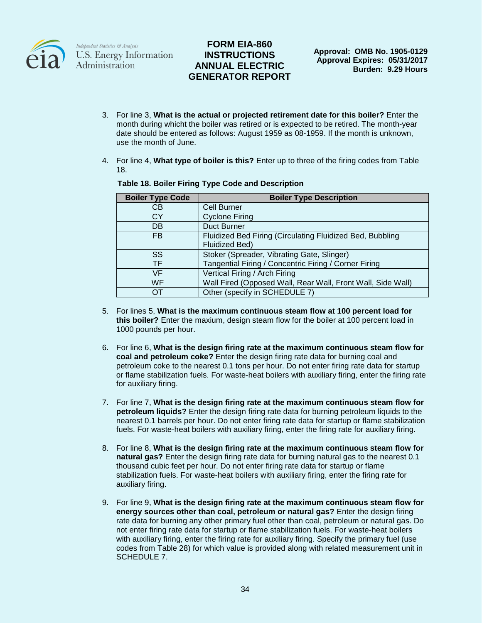

# **FORM EIA-860 INSTRUCTIONS ANNUAL ELECTRIC GENERATOR REPORT**

- 3. For line 3, **What is the actual or projected retirement date for this boiler?** Enter the month during whicht the boiler was retired or is expected to be retired. The month-year date should be entered as follows: August 1959 as 08-1959. If the month is unknown, use the month of June.
- 4. For line 4, **What type of boiler is this?** Enter up to three of the firing codes from Table 18.

| <b>Boiler Type Code</b> | <b>Boiler Type Description</b>                              |
|-------------------------|-------------------------------------------------------------|
| CВ                      | <b>Cell Burner</b>                                          |
| СY                      | <b>Cyclone Firing</b>                                       |
| DB                      | Duct Burner                                                 |
| <b>FB</b>               | Fluidized Bed Firing (Circulating Fluidized Bed, Bubbling   |
|                         | Fluidized Bed)                                              |
| SS                      | Stoker (Spreader, Vibrating Gate, Slinger)                  |
| TF                      | Tangential Firing / Concentric Firing / Corner Firing       |
| VF                      | Vertical Firing / Arch Firing                               |
| WF                      | Wall Fired (Opposed Wall, Rear Wall, Front Wall, Side Wall) |
| OТ                      | Other (specify in SCHEDULE 7)                               |

#### **Table 18. Boiler Firing Type Code and Description**

- 5. For lines 5, **What is the maximum continuous steam flow at 100 percent load for this boiler?** Enter the maxium, design steam flow for the boiler at 100 percent load in 1000 pounds per hour.
- 6. For line 6, **What is the design firing rate at the maximum continuous steam flow for coal and petroleum coke?** Enter the design firing rate data for burning coal and petroleum coke to the nearest 0.1 tons per hour. Do not enter firing rate data for startup or flame stabilization fuels. For waste-heat boilers with auxiliary firing, enter the firing rate for auxiliary firing.
- 7. For line 7, **What is the design firing rate at the maximum continuous steam flow for petroleum liquids?** Enter the design firing rate data for burning petroleum liquids to the nearest 0.1 barrels per hour. Do not enter firing rate data for startup or flame stabilization fuels. For waste-heat boilers with auxiliary firing, enter the firing rate for auxiliary firing.
- 8. For line 8, **What is the design firing rate at the maximum continuous steam flow for natural gas?** Enter the design firing rate data for burning natural gas to the nearest 0.1 thousand cubic feet per hour. Do not enter firing rate data for startup or flame stabilization fuels. For waste-heat boilers with auxiliary firing, enter the firing rate for auxiliary firing.
- 9. For line 9, **What is the design firing rate at the maximum continuous steam flow for energy sources other than coal, petroleum or natural gas?** Enter the design firing rate data for burning any other primary fuel other than coal, petroleum or natural gas. Do not enter firing rate data for startup or flame stabilization fuels. For waste-heat boilers with auxiliary firing, enter the firing rate for auxiliary firing. Specify the primary fuel (use codes from Table 28) for which value is provided along with related measurement unit in SCHEDULE 7.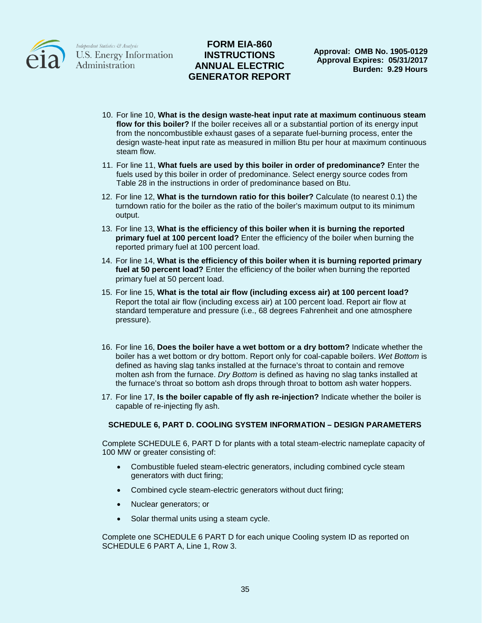

## **FORM EIA-860 INSTRUCTIONS ANNUAL ELECTRIC GENERATOR REPORT**

- 10. For line 10, **What is the design waste-heat input rate at maximum continuous steam flow for this boiler?** If the boiler receives all or a substantial portion of its energy input from the noncombustible exhaust gases of a separate fuel-burning process, enter the design waste-heat input rate as measured in million Btu per hour at maximum continuous steam flow.
- 11. For line 11, **What fuels are used by this boiler in order of predominance?** Enter the fuels used by this boiler in order of predominance. Select energy source codes from Table 28 in the instructions in order of predominance based on Btu.
- 12. For line 12, **What is the turndown ratio for this boiler?** Calculate (to nearest 0.1) the turndown ratio for the boiler as the ratio of the boiler's maximum output to its minimum output.
- 13. For line 13, **What is the efficiency of this boiler when it is burning the reported primary fuel at 100 percent load?** Enter the efficiency of the boiler when burning the reported primary fuel at 100 percent load.
- 14. For line 14, **What is the efficiency of this boiler when it is burning reported primary fuel at 50 percent load?** Enter the efficiency of the boiler when burning the reported primary fuel at 50 percent load.
- 15. For line 15, **What is the total air flow (including excess air) at 100 percent load?** Report the total air flow (including excess air) at 100 percent load. Report air flow at standard temperature and pressure (i.e., 68 degrees Fahrenheit and one atmosphere pressure).
- 16. For line 16, **Does the boiler have a wet bottom or a dry bottom?** Indicate whether the boiler has a wet bottom or dry bottom. Report only for coal-capable boilers. *Wet Bottom* is defined as having slag tanks installed at the furnace's throat to contain and remove molten ash from the furnace. *Dry Bottom* is defined as having no slag tanks installed at the furnace's throat so bottom ash drops through throat to bottom ash water hoppers.
- 17. For line 17, **Is the boiler capable of fly ash re-injection?** Indicate whether the boiler is capable of re-injecting fly ash.

#### **SCHEDULE 6, PART D. COOLING SYSTEM INFORMATION – DESIGN PARAMETERS**

Complete SCHEDULE 6, PART D for plants with a total steam-electric nameplate capacity of 100 MW or greater consisting of:

- Combustible fueled steam-electric generators, including combined cycle steam generators with duct firing;
- Combined cycle steam-electric generators without duct firing;
- Nuclear generators; or
- Solar thermal units using a steam cycle.

Complete one SCHEDULE 6 PART D for each unique Cooling system ID as reported on SCHEDULE 6 PART A, Line 1, Row 3.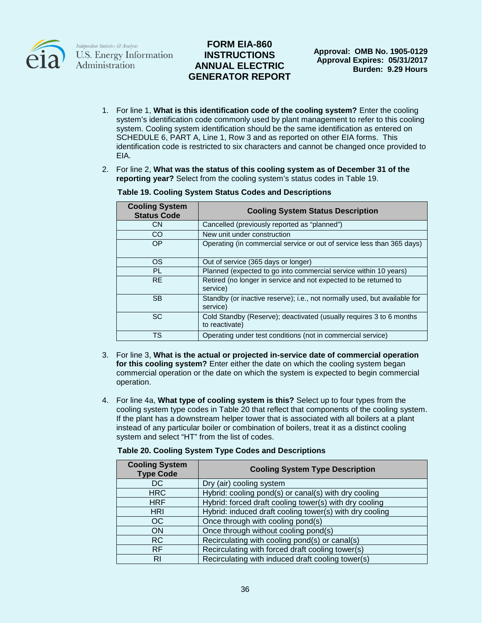

# **FORM EIA-860 INSTRUCTIONS ANNUAL ELECTRIC GENERATOR REPORT**

- 1. For line 1, **What is this identification code of the cooling system?** Enter the cooling system's identification code commonly used by plant management to refer to this cooling system. Cooling system identification should be the same identification as entered on SCHEDULE 6, PART A, Line 1, Row 3 and as reported on other EIA forms. This identification code is restricted to six characters and cannot be changed once provided to EIA.
- 2. For line 2, **What was the status of this cooling system as of December 31 of the reporting year?** Select from the cooling system's status codes in Table 19.

| <b>Cooling System</b><br><b>Status Code</b> | <b>Cooling System Status Description</b>                                              |
|---------------------------------------------|---------------------------------------------------------------------------------------|
| <b>CN</b>                                   | Cancelled (previously reported as "planned")                                          |
| CO.                                         | New unit under construction                                                           |
| <b>OP</b>                                   | Operating (in commercial service or out of service less than 365 days)                |
| <b>OS</b>                                   | Out of service (365 days or longer)                                                   |
| <b>PL</b>                                   | Planned (expected to go into commercial service within 10 years)                      |
| <b>RE</b>                                   | Retired (no longer in service and not expected to be returned to<br>service)          |
| <b>SB</b>                                   | Standby (or inactive reserve); i.e., not normally used, but available for<br>service) |
| <b>SC</b>                                   | Cold Standby (Reserve); deactivated (usually requires 3 to 6 months<br>to reactivate) |
| TS                                          | Operating under test conditions (not in commercial service)                           |

#### **Table 19. Cooling System Status Codes and Descriptions**

- 3. For line 3, **What is the actual or projected in-service date of commercial operation for this cooling system?** Enter either the date on which the cooling system began commercial operation or the date on which the system is expected to begin commercial operation.
- 4. For line 4a, **What type of cooling system is this?** Select up to four types from the cooling system type codes in Table 20 that reflect that components of the cooling system. If the plant has a downstream helper tower that is associated with all boilers at a plant instead of any particular boiler or combination of boilers, treat it as a distinct cooling system and select "HT" from the list of codes.

| <b>Cooling System</b><br><b>Type Code</b> | <b>Cooling System Type Description</b>                  |
|-------------------------------------------|---------------------------------------------------------|
| DC.                                       | Dry (air) cooling system                                |
| <b>HRC</b>                                | Hybrid: cooling pond(s) or canal(s) with dry cooling    |
| <b>HRF</b>                                | Hybrid: forced draft cooling tower(s) with dry cooling  |
| <b>HRI</b>                                | Hybrid: induced draft cooling tower(s) with dry cooling |
| OC.                                       | Once through with cooling pond(s)                       |
| ON                                        | Once through without cooling pond(s)                    |
| RC.                                       | Recirculating with cooling pond(s) or canal(s)          |
| <b>RF</b>                                 | Recirculating with forced draft cooling tower(s)        |
| RI                                        | Recirculating with induced draft cooling tower(s)       |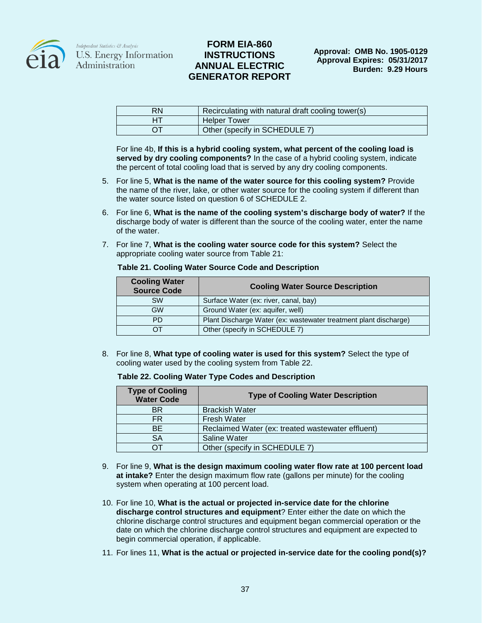

## **FORM EIA-860 INSTRUCTIONS ANNUAL ELECTRIC GENERATOR REPORT**

| <b>RN</b> | Recirculating with natural draft cooling tower(s) |
|-----------|---------------------------------------------------|
|           | <b>Helper Tower</b>                               |
|           | Other (specify in SCHEDULE 7)                     |

For line 4b, **If this is a hybrid cooling system, what percent of the cooling load is served by dry cooling components?** In the case of a hybrid cooling system, indicate the percent of total cooling load that is served by any dry cooling components.

- 5. For line 5, **What is the name of the water source for this cooling system?** Provide the name of the river, lake, or other water source for the cooling system if different than the water source listed on question 6 of SCHEDULE 2.
- 6. For line 6, **What is the name of the cooling system's discharge body of water?** If the discharge body of water is different than the source of the cooling water, enter the name of the water.
- 7. For line 7, **What is the cooling water source code for this system?** Select the appropriate cooling water source from Table 21:

|  |  |  | Table 21. Cooling Water Source Code and Description |
|--|--|--|-----------------------------------------------------|
|--|--|--|-----------------------------------------------------|

| <b>Cooling Water</b><br><b>Source Code</b> | <b>Cooling Water Source Description</b>                          |
|--------------------------------------------|------------------------------------------------------------------|
| <b>SW</b>                                  | Surface Water (ex: river, canal, bay)                            |
| GW                                         | Ground Water (ex: aquifer, well)                                 |
| PD.                                        | Plant Discharge Water (ex: wastewater treatment plant discharge) |
|                                            | Other (specify in SCHEDULE 7)                                    |

8. For line 8, **What type of cooling water is used for this system?** Select the type of cooling water used by the cooling system from Table 22.

#### **Table 22. Cooling Water Type Codes and Description**

| <b>Type of Cooling</b><br><b>Water Code</b> | <b>Type of Cooling Water Description</b>          |
|---------------------------------------------|---------------------------------------------------|
| <b>BR</b>                                   | <b>Brackish Water</b>                             |
| FR.                                         | <b>Fresh Water</b>                                |
| <b>BE</b>                                   | Reclaimed Water (ex: treated wastewater effluent) |
| SA                                          | Saline Water                                      |
|                                             | Other (specify in SCHEDULE 7)                     |

- 9. For line 9, **What is the design maximum cooling water flow rate at 100 percent load at intake?** Enter the design maximum flow rate (gallons per minute) for the cooling system when operating at 100 percent load.
- 10. For line 10, **What is the actual or projected in-service date for the chlorine discharge control structures and equipment**? Enter either the date on which the chlorine discharge control structures and equipment began commercial operation or the date on which the chlorine discharge control structures and equipment are expected to begin commercial operation, if applicable.
- 11. For lines 11, **What is the actual or projected in-service date for the cooling pond(s)?**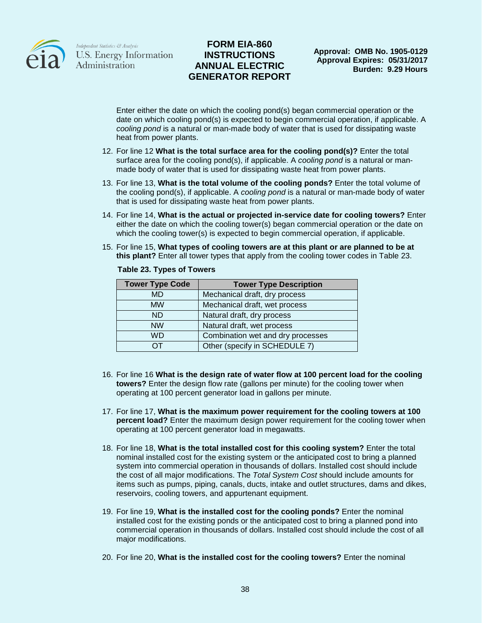

## **FORM EIA-860 INSTRUCTIONS ANNUAL ELECTRIC GENERATOR REPORT**

Enter either the date on which the cooling pond(s) began commercial operation or the date on which cooling pond(s) is expected to begin commercial operation, if applicable. A *cooling pond* is a natural or man-made body of water that is used for dissipating waste heat from power plants.

- 12. For line 12 **What is the total surface area for the cooling pond(s)?** Enter the total surface area for the cooling pond(s), if applicable. A *cooling pond* is a natural or manmade body of water that is used for dissipating waste heat from power plants.
- 13. For line 13, **What is the total volume of the cooling ponds?** Enter the total volume of the cooling pond(s), if applicable. A *cooling pond* is a natural or man-made body of water that is used for dissipating waste heat from power plants.
- 14. For line 14, **What is the actual or projected in-service date for cooling towers?** Enter either the date on which the cooling tower(s) began commercial operation or the date on which the cooling tower(s) is expected to begin commercial operation, if applicable.
- 15. For line 15, **What types of cooling towers are at this plant or are planned to be at this plant?** Enter all tower types that apply from the cooling tower codes in Table 23.

| <b>Tower Type Code</b> | <b>Tower Type Description</b>     |
|------------------------|-----------------------------------|
| MD                     | Mechanical draft, dry process     |
| <b>MW</b>              | Mechanical draft, wet process     |
| <b>ND</b>              | Natural draft, dry process        |
| <b>NW</b>              | Natural draft, wet process        |
| WD                     | Combination wet and dry processes |
| דר                     | Other (specify in SCHEDULE 7)     |

#### **Table 23. Types of Towers**

- 16. For line 16 **What is the design rate of water flow at 100 percent load for the cooling towers?** Enter the design flow rate (gallons per minute) for the cooling tower when operating at 100 percent generator load in gallons per minute.
- 17. For line 17, **What is the maximum power requirement for the cooling towers at 100 percent load?** Enter the maximum design power requirement for the cooling tower when operating at 100 percent generator load in megawatts.
- 18. For line 18, **What is the total installed cost for this cooling system?** Enter the total nominal installed cost for the existing system or the anticipated cost to bring a planned system into commercial operation in thousands of dollars. Installed cost should include the cost of all major modifications. The *Total System Cost* should include amounts for items such as pumps, piping, canals, ducts, intake and outlet structures, dams and dikes, reservoirs, cooling towers, and appurtenant equipment.
- 19. For line 19, **What is the installed cost for the cooling ponds?** Enter the nominal installed cost for the existing ponds or the anticipated cost to bring a planned pond into commercial operation in thousands of dollars. Installed cost should include the cost of all major modifications.
- 20. For line 20, **What is the installed cost for the cooling towers?** Enter the nominal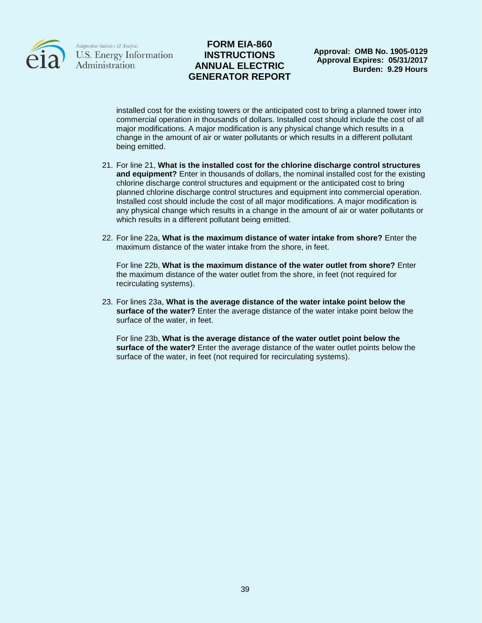

## **FORM EIA-860 INSTRUCTIONS ANNUAL ELECTRIC GENERATOR REPORT**

**Approval: OMB No. 1905-0129 Approval Expires: 05/31/2017 Burden: 9.29 Hours**

installed cost for the existing towers or the anticipated cost to bring a planned tower into commercial operation in thousands of dollars. Installed cost should include the cost of all major modifications. A major modification is any physical change which results in a change in the amount of air or water pollutants or which results in a different pollutant being emitted.

- 21. For line 21, **What is the installed cost for the chlorine discharge control structures and equipment?** Enter in thousands of dollars, the nominal installed cost for the existing chlorine discharge control structures and equipment or the anticipated cost to bring planned chlorine discharge control structures and equipment into commercial operation. Installed cost should include the cost of all major modifications. A major modification is any physical change which results in a change in the amount of air or water pollutants or which results in a different pollutant being emitted.
- 22. For line 22a, **What is the maximum distance of water intake from shore?** Enter the maximum distance of the water intake from the shore, in feet.

For line 22b, **What is the maximum distance of the water outlet from shore?** Enter the maximum distance of the water outlet from the shore, in feet (not required for recirculating systems).

23. For lines 23a, **What is the average distance of the water intake point below the surface of the water?** Enter the average distance of the water intake point below the surface of the water, in feet.

For line 23b, **What is the average distance of the water outlet point below the surface of the water?** Enter the average distance of the water outlet points below the surface of the water, in feet (not required for recirculating systems).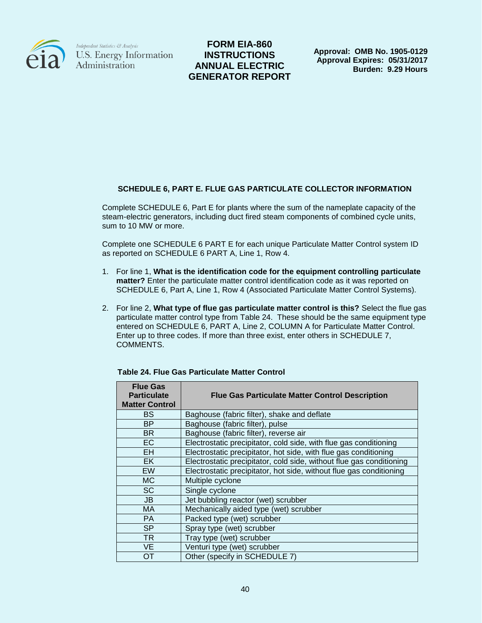

**FORM EIA-860 INSTRUCTIONS ANNUAL ELECTRIC GENERATOR REPORT**

**Approval: OMB No. 1905-0129 Approval Expires: 05/31/2017 Burden: 9.29 Hours**

### **SCHEDULE 6, PART E. FLUE GAS PARTICULATE COLLECTOR INFORMATION**

Complete SCHEDULE 6, Part E for plants where the sum of the nameplate capacity of the steam-electric generators, including duct fired steam components of combined cycle units, sum to 10 MW or more.

Complete one SCHEDULE 6 PART E for each unique Particulate Matter Control system ID as reported on SCHEDULE 6 PART A, Line 1, Row 4.

- 1. For line 1, **What is the identification code for the equipment controlling particulate matter?** Enter the particulate matter control identification code as it was reported on SCHEDULE 6, Part A, Line 1, Row 4 (Associated Particulate Matter Control Systems).
- 2. For line 2, **What type of flue gas particulate matter control is this?** Select the flue gas particulate matter control type from Table 24. These should be the same equipment type entered on SCHEDULE 6, PART A, Line 2, COLUMN A for Particulate Matter Control. Enter up to three codes. If more than three exist, enter others in SCHEDULE 7, COMMENTS.

| <b>Flue Gas</b><br><b>Particulate</b><br><b>Matter Control</b> | <b>Flue Gas Particulate Matter Control Description</b>               |
|----------------------------------------------------------------|----------------------------------------------------------------------|
| <b>BS</b>                                                      | Baghouse (fabric filter), shake and deflate                          |
| <b>BP</b>                                                      | Baghouse (fabric filter), pulse                                      |
| <b>BR</b>                                                      | Baghouse (fabric filter), reverse air                                |
| <b>EC</b>                                                      | Electrostatic precipitator, cold side, with flue gas conditioning    |
| EH.                                                            | Electrostatic precipitator, hot side, with flue gas conditioning     |
| EK.                                                            | Electrostatic precipitator, cold side, without flue gas conditioning |
| <b>EW</b>                                                      | Electrostatic precipitator, hot side, without flue gas conditioning  |
| MC.                                                            | Multiple cyclone                                                     |
| <b>SC</b>                                                      | Single cyclone                                                       |
| JB                                                             | Jet bubbling reactor (wet) scrubber                                  |
| MA                                                             | Mechanically aided type (wet) scrubber                               |
| <b>PA</b>                                                      | Packed type (wet) scrubber                                           |
| <b>SP</b>                                                      | Spray type (wet) scrubber                                            |
| <b>TR</b>                                                      | Tray type (wet) scrubber                                             |
| <b>VE</b>                                                      | Venturi type (wet) scrubber                                          |
| ОT                                                             | Other (specify in SCHEDULE 7)                                        |

**Table 24. Flue Gas Particulate Matter Control**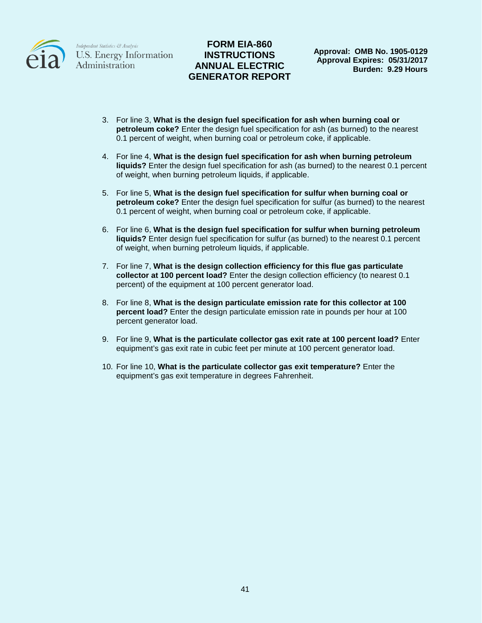

# **FORM EIA-860 INSTRUCTIONS ANNUAL ELECTRIC GENERATOR REPORT**

**Approval: OMB No. 1905-0129 Approval Expires: 05/31/2017 Burden: 9.29 Hours**

- 3. For line 3, **What is the design fuel specification for ash when burning coal or petroleum coke?** Enter the design fuel specification for ash (as burned) to the nearest 0.1 percent of weight, when burning coal or petroleum coke, if applicable.
- 4. For line 4, **What is the design fuel specification for ash when burning petroleum liquids?** Enter the design fuel specification for ash (as burned) to the nearest 0.1 percent of weight, when burning petroleum liquids, if applicable.
- 5. For line 5, **What is the design fuel specification for sulfur when burning coal or petroleum coke?** Enter the design fuel specification for sulfur (as burned) to the nearest 0.1 percent of weight, when burning coal or petroleum coke, if applicable.
- 6. For line 6, **What is the design fuel specification for sulfur when burning petroleum liquids?** Enter design fuel specification for sulfur (as burned) to the nearest 0.1 percent of weight, when burning petroleum liquids, if applicable.
- 7. For line 7, **What is the design collection efficiency for this flue gas particulate collector at 100 percent load?** Enter the design collection efficiency (to nearest 0.1 percent) of the equipment at 100 percent generator load.
- 8. For line 8, **What is the design particulate emission rate for this collector at 100 percent load?** Enter the design particulate emission rate in pounds per hour at 100 percent generator load.
- 9. For line 9, **What is the particulate collector gas exit rate at 100 percent load?** Enter equipment's gas exit rate in cubic feet per minute at 100 percent generator load.
- 10. For line 10, **What is the particulate collector gas exit temperature?** Enter the equipment's gas exit temperature in degrees Fahrenheit.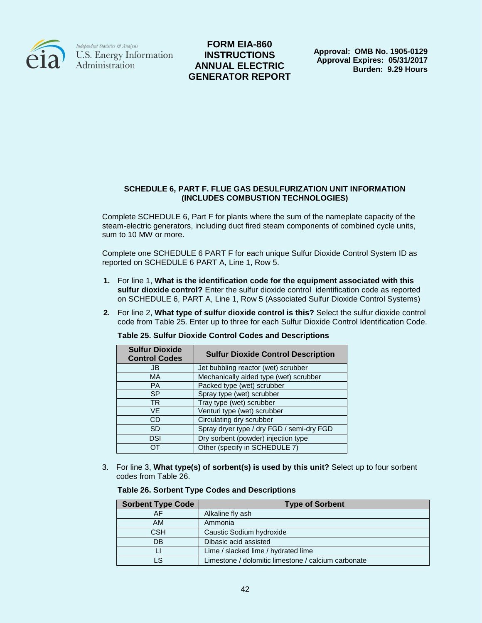

**FORM EIA-860 INSTRUCTIONS ANNUAL ELECTRIC GENERATOR REPORT**

**Approval: OMB No. 1905-0129 Approval Expires: 05/31/2017 Burden: 9.29 Hours**

#### **SCHEDULE 6, PART F. FLUE GAS DESULFURIZATION UNIT INFORMATION (INCLUDES COMBUSTION TECHNOLOGIES)**

Complete SCHEDULE 6, Part F for plants where the sum of the nameplate capacity of the steam-electric generators, including duct fired steam components of combined cycle units, sum to 10 MW or more.

Complete one SCHEDULE 6 PART F for each unique Sulfur Dioxide Control System ID as reported on SCHEDULE 6 PART A, Line 1, Row 5.

- **1.** For line 1, **What is the identification code for the equipment associated with this sulfur dioxide control?** Enter the sulfur dioxide control identification code as reported on SCHEDULE 6, PART A, Line 1, Row 5 (Associated Sulfur Dioxide Control Systems)
- **2.** For line 2, **What type of sulfur dioxide control is this?** Select the sulfur dioxide control code from Table 25. Enter up to three for each Sulfur Dioxide Control Identification Code.

| <b>Sulfur Dioxide</b><br><b>Control Codes</b> | <b>Sulfur Dioxide Control Description</b> |
|-----------------------------------------------|-------------------------------------------|
| JB                                            | Jet bubbling reactor (wet) scrubber       |
| <b>MA</b>                                     | Mechanically aided type (wet) scrubber    |
| <b>PA</b>                                     | Packed type (wet) scrubber                |
| <b>SP</b>                                     | Spray type (wet) scrubber                 |
| <b>TR</b>                                     | Tray type (wet) scrubber                  |
| VF                                            | Venturi type (wet) scrubber               |
| CD                                            | Circulating dry scrubber                  |
| SD.                                           | Spray dryer type / dry FGD / semi-dry FGD |
| DSI                                           | Dry sorbent (powder) injection type       |
| ∩⊤                                            | Other (specify in SCHEDULE 7)             |

**Table 25. Sulfur Dioxide Control Codes and Descriptions**

3. For line 3, **What type(s) of sorbent(s) is used by this unit?** Select up to four sorbent codes from Table 26.

| <b>Table 26. Sorbent Type Codes and Descriptions</b> |  |  |  |
|------------------------------------------------------|--|--|--|
|------------------------------------------------------|--|--|--|

| <b>Sorbent Type Code</b> | <b>Type of Sorbent</b>                              |
|--------------------------|-----------------------------------------------------|
| AF                       | Alkaline fly ash                                    |
| AM                       | Ammonia                                             |
| <b>CSH</b>               | Caustic Sodium hydroxide                            |
| DB                       | Dibasic acid assisted                               |
|                          | Lime / slacked lime / hydrated lime                 |
| LS                       | Limestone / dolomitic limestone / calcium carbonate |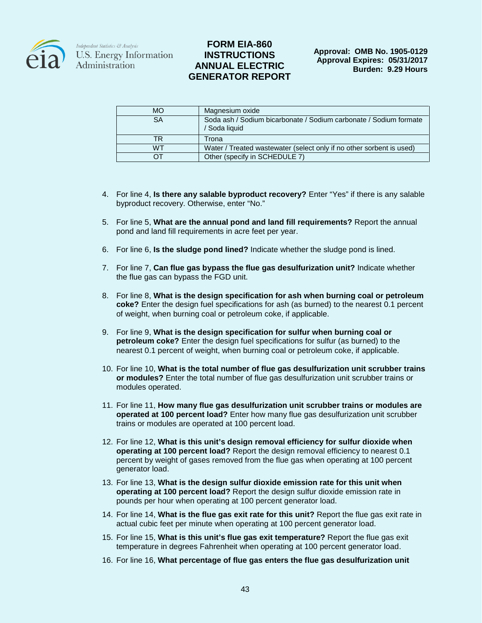

| <b>MO</b> | Magnesium oxide                                                                    |
|-----------|------------------------------------------------------------------------------------|
| SA        | Soda ash / Sodium bicarbonate / Sodium carbonate / Sodium formate<br>/ Soda liquid |
| TR        | Trona                                                                              |
| <b>WT</b> | Water / Treated wastewater (select only if no other sorbent is used)               |
| ∩⊤        | Other (specify in SCHEDULE 7)                                                      |

- 4. For line 4, **Is there any salable byproduct recovery?** Enter "Yes" if there is any salable byproduct recovery. Otherwise, enter "No."
- 5. For line 5, **What are the annual pond and land fill requirements?** Report the annual pond and land fill requirements in acre feet per year.
- 6. For line 6, **Is the sludge pond lined?** Indicate whether the sludge pond is lined.
- 7. For line 7, **Can flue gas bypass the flue gas desulfurization unit?** Indicate whether the flue gas can bypass the FGD unit.
- 8. For line 8, **What is the design specification for ash when burning coal or petroleum coke?** Enter the design fuel specifications for ash (as burned) to the nearest 0.1 percent of weight, when burning coal or petroleum coke, if applicable.
- 9. For line 9, **What is the design specification for sulfur when burning coal or petroleum coke?** Enter the design fuel specifications for sulfur (as burned) to the nearest 0.1 percent of weight, when burning coal or petroleum coke, if applicable.
- 10. For line 10, **What is the total number of flue gas desulfurization unit scrubber trains or modules?** Enter the total number of flue gas desulfurization unit scrubber trains or modules operated.
- 11. For line 11, **How many flue gas desulfurization unit scrubber trains or modules are operated at 100 percent load?** Enter how many flue gas desulfurization unit scrubber trains or modules are operated at 100 percent load.
- 12. For line 12, **What is this unit's design removal efficiency for sulfur dioxide when operating at 100 percent load?** Report the design removal efficiency to nearest 0.1 percent by weight of gases removed from the flue gas when operating at 100 percent generator load.
- 13. For line 13, **What is the design sulfur dioxide emission rate for this unit when operating at 100 percent load?** Report the design sulfur dioxide emission rate in pounds per hour when operating at 100 percent generator load.
- 14. For line 14, **What is the flue gas exit rate for this unit?** Report the flue gas exit rate in actual cubic feet per minute when operating at 100 percent generator load.
- 15. For line 15, **What is this unit's flue gas exit temperature?** Report the flue gas exit temperature in degrees Fahrenheit when operating at 100 percent generator load.
- 16. For line 16, **What percentage of flue gas enters the flue gas desulfurization unit**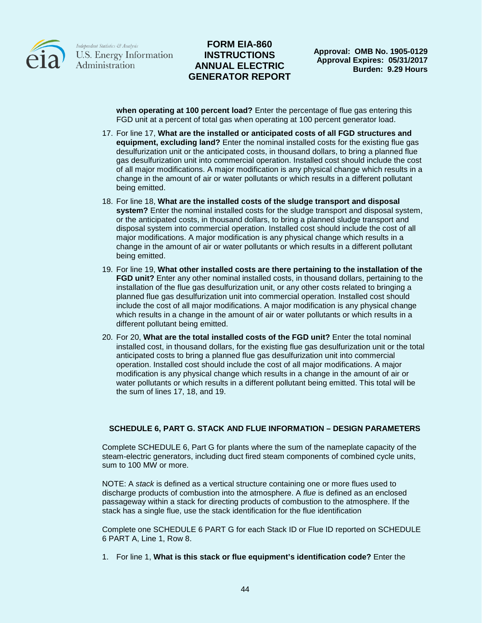

## **FORM EIA-860 INSTRUCTIONS ANNUAL ELECTRIC GENERATOR REPORT**

**when operating at 100 percent load?** Enter the percentage of flue gas entering this FGD unit at a percent of total gas when operating at 100 percent generator load.

- 17. For line 17, **What are the installed or anticipated costs of all FGD structures and equipment, excluding land?** Enter the nominal installed costs for the existing flue gas desulfurization unit or the anticipated costs, in thousand dollars, to bring a planned flue gas desulfurization unit into commercial operation. Installed cost should include the cost of all major modifications. A major modification is any physical change which results in a change in the amount of air or water pollutants or which results in a different pollutant being emitted.
- 18. For line 18, **What are the installed costs of the sludge transport and disposal system?** Enter the nominal installed costs for the sludge transport and disposal system, or the anticipated costs, in thousand dollars, to bring a planned sludge transport and disposal system into commercial operation. Installed cost should include the cost of all major modifications. A major modification is any physical change which results in a change in the amount of air or water pollutants or which results in a different pollutant being emitted.
- 19. For line 19, **What other installed costs are there pertaining to the installation of the FGD unit?** Enter any other nominal installed costs, in thousand dollars, pertaining to the installation of the flue gas desulfurization unit, or any other costs related to bringing a planned flue gas desulfurization unit into commercial operation. Installed cost should include the cost of all major modifications. A major modification is any physical change which results in a change in the amount of air or water pollutants or which results in a different pollutant being emitted.
- 20. For 20, **What are the total installed costs of the FGD unit?** Enter the total nominal installed cost, in thousand dollars, for the existing flue gas desulfurization unit or the total anticipated costs to bring a planned flue gas desulfurization unit into commercial operation. Installed cost should include the cost of all major modifications. A major modification is any physical change which results in a change in the amount of air or water pollutants or which results in a different pollutant being emitted. This total will be the sum of lines 17, 18, and 19.

#### **SCHEDULE 6, PART G. STACK AND FLUE INFORMATION – DESIGN PARAMETERS**

Complete SCHEDULE 6, Part G for plants where the sum of the nameplate capacity of the steam-electric generators, including duct fired steam components of combined cycle units, sum to 100 MW or more.

NOTE: A *stack* is defined as a vertical structure containing one or more flues used to discharge products of combustion into the atmosphere. A *flue* is defined as an enclosed passageway within a stack for directing products of combustion to the atmosphere. If the stack has a single flue, use the stack identification for the flue identification

Complete one SCHEDULE 6 PART G for each Stack ID or Flue ID reported on SCHEDULE 6 PART A, Line 1, Row 8.

1. For line 1, **What is this stack or flue equipment's identification code?** Enter the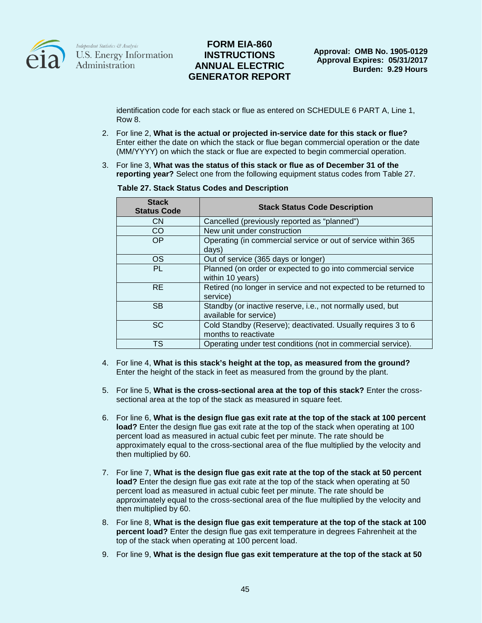

## **FORM EIA-860 INSTRUCTIONS ANNUAL ELECTRIC GENERATOR REPORT**

identification code for each stack or flue as entered on SCHEDULE 6 PART A, Line 1, Row 8.

- 2. For line 2, **What is the actual or projected in-service date for this stack or flue?** Enter either the date on which the stack or flue began commercial operation or the date (MM/YYYY) on which the stack or flue are expected to begin commercial operation.
- 3. For line 3, **What was the status of this stack or flue as of December 31 of the reporting year?** Select one from the following equipment status codes from Table 27.

| <b>Stack</b><br><b>Status Code</b> | <b>Stack Status Code Description</b>                                                 |
|------------------------------------|--------------------------------------------------------------------------------------|
| <b>CN</b>                          | Cancelled (previously reported as "planned")                                         |
| <b>CO</b>                          | New unit under construction                                                          |
| <b>OP</b>                          | Operating (in commercial service or out of service within 365<br>days)               |
| <b>OS</b>                          | Out of service (365 days or longer)                                                  |
| PL                                 | Planned (on order or expected to go into commercial service<br>within 10 years)      |
| <b>RE</b>                          | Retired (no longer in service and not expected to be returned to<br>service)         |
| <b>SB</b>                          | Standby (or inactive reserve, i.e., not normally used, but<br>available for service) |
| SC                                 | Cold Standby (Reserve); deactivated. Usually requires 3 to 6<br>months to reactivate |
| TS                                 | Operating under test conditions (not in commercial service).                         |

#### **Table 27. Stack Status Codes and Description**

- 4. For line 4, **What is this stack's height at the top, as measured from the ground?** Enter the height of the stack in feet as measured from the ground by the plant.
- 5. For line 5, **What is the cross-sectional area at the top of this stack?** Enter the crosssectional area at the top of the stack as measured in square feet.
- 6. For line 6, **What is the design flue gas exit rate at the top of the stack at 100 percent load?** Enter the design flue gas exit rate at the top of the stack when operating at 100 percent load as measured in actual cubic feet per minute. The rate should be approximately equal to the cross-sectional area of the flue multiplied by the velocity and then multiplied by 60.
- 7. For line 7, **What is the design flue gas exit rate at the top of the stack at 50 percent load?** Enter the design flue gas exit rate at the top of the stack when operating at 50 percent load as measured in actual cubic feet per minute. The rate should be approximately equal to the cross-sectional area of the flue multiplied by the velocity and then multiplied by 60.
- 8. For line 8, **What is the design flue gas exit temperature at the top of the stack at 100 percent load?** Enter the design flue gas exit temperature in degrees Fahrenheit at the top of the stack when operating at 100 percent load.
- 9. For line 9, **What is the design flue gas exit temperature at the top of the stack at 50**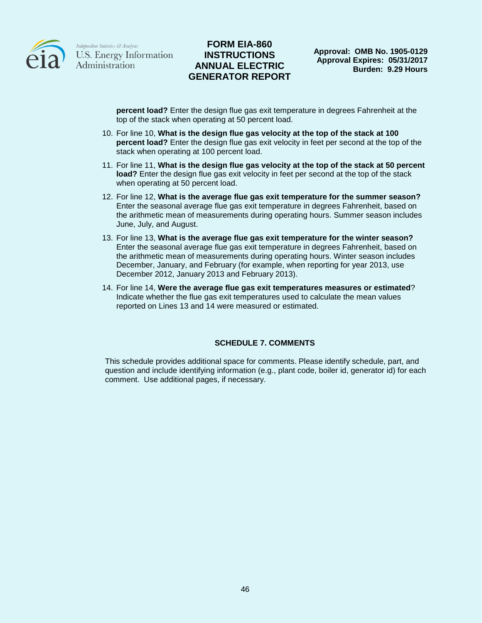

## **FORM EIA-860 INSTRUCTIONS ANNUAL ELECTRIC GENERATOR REPORT**

**percent load?** Enter the design flue gas exit temperature in degrees Fahrenheit at the top of the stack when operating at 50 percent load.

- 10. For line 10, **What is the design flue gas velocity at the top of the stack at 100 percent load?** Enter the design flue gas exit velocity in feet per second at the top of the stack when operating at 100 percent load.
- 11. For line 11, **What is the design flue gas velocity at the top of the stack at 50 percent load?** Enter the design flue gas exit velocity in feet per second at the top of the stack when operating at 50 percent load.
- 12. For line 12, **What is the average flue gas exit temperature for the summer season?** Enter the seasonal average flue gas exit temperature in degrees Fahrenheit, based on the arithmetic mean of measurements during operating hours. Summer season includes June, July, and August.
- 13. For line 13, **What is the average flue gas exit temperature for the winter season?**  Enter the seasonal average flue gas exit temperature in degrees Fahrenheit, based on the arithmetic mean of measurements during operating hours. Winter season includes December, January, and February (for example, when reporting for year 2013, use December 2012, January 2013 and February 2013).
- 14. For line 14, **Were the average flue gas exit temperatures measures or estimated**? Indicate whether the flue gas exit temperatures used to calculate the mean values reported on Lines 13 and 14 were measured or estimated.

#### **SCHEDULE 7. COMMENTS**

This schedule provides additional space for comments. Please identify schedule, part, and question and include identifying information (e.g., plant code, boiler id, generator id) for each comment. Use additional pages, if necessary.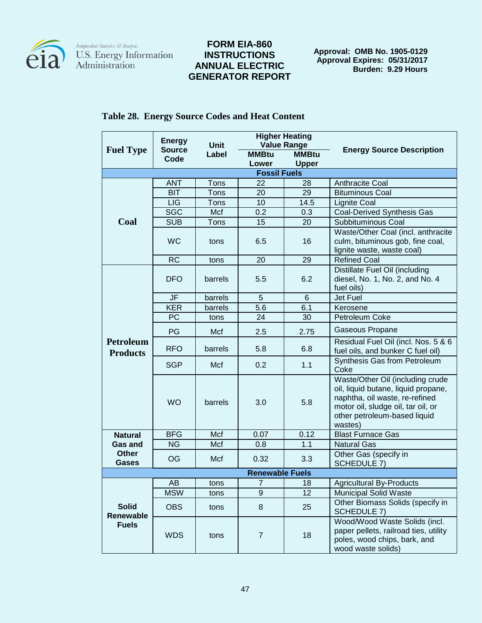

 $\begin{array}{l} \textit{Independent Statistics} \ \mathcal{C}\ \textit{Analysis} \\ \textbf{U.S. Energy Information} \\ \textbf{Administration} \end{array}$ 

# **FORM EIA-860 INSTRUCTIONS ANNUAL ELECTRIC GENERATOR REPORT**

**Approval: OMB No. 1905-0129 Approval Expires: 05/31/2017 Burden: 9.29 Hours**

|                                           | <b>Energy</b> | <b>Higher Heating</b> |                        |              | <b>Energy Source Description</b>                                                                                                                                                           |
|-------------------------------------------|---------------|-----------------------|------------------------|--------------|--------------------------------------------------------------------------------------------------------------------------------------------------------------------------------------------|
| <b>Fuel Type</b>                          | <b>Source</b> | <b>Unit</b>           | <b>Value Range</b>     |              |                                                                                                                                                                                            |
|                                           | Code          | Label                 | <b>MMBtu</b>           | <b>MMBtu</b> |                                                                                                                                                                                            |
|                                           |               |                       | Lower                  | <b>Upper</b> |                                                                                                                                                                                            |
|                                           |               |                       | <b>Fossil Fuels</b>    |              |                                                                                                                                                                                            |
|                                           | <b>ANT</b>    | Tons                  | 22                     | 28           | <b>Anthracite Coal</b>                                                                                                                                                                     |
|                                           | <b>BIT</b>    | <b>Tons</b>           | 20                     | 29           | <b>Bituminous Coal</b>                                                                                                                                                                     |
|                                           | <b>LIG</b>    | <b>Tons</b>           | 10                     | 14.5         | <b>Lignite Coal</b>                                                                                                                                                                        |
|                                           | <b>SGC</b>    | Mcf                   | 0.2                    | 0.3          | <b>Coal-Derived Synthesis Gas</b>                                                                                                                                                          |
| Coal                                      | <b>SUB</b>    | Tons                  | 15                     | 20           | Subbituminous Coal                                                                                                                                                                         |
|                                           | <b>WC</b>     | tons                  | 6.5                    | 16           | Waste/Other Coal (incl. anthracite<br>culm, bituminous gob, fine coal,<br>lignite waste, waste coal)                                                                                       |
|                                           | <b>RC</b>     | tons                  | 20                     | 29           | Refined Coal                                                                                                                                                                               |
|                                           | <b>DFO</b>    | barrels               | 5.5                    | 6.2          | Distillate Fuel Oil (including<br>diesel, No. 1, No. 2, and No. 4<br>fuel oils)                                                                                                            |
|                                           | <b>JF</b>     | barrels               | 5                      | 6            | Jet Fuel                                                                                                                                                                                   |
|                                           | <b>KER</b>    | barrels               | 5.6                    | 6.1          | Kerosene                                                                                                                                                                                   |
|                                           | PC            | tons                  | 24                     | 30           | Petroleum Coke                                                                                                                                                                             |
|                                           | PG            | Mcf                   | 2.5                    | 2.75         | Gaseous Propane                                                                                                                                                                            |
| <b>Petroleum</b><br><b>Products</b>       | <b>RFO</b>    | barrels               | 5.8                    | 6.8          | Residual Fuel Oil (incl. Nos. 5 & 6<br>fuel oils, and bunker C fuel oil)                                                                                                                   |
|                                           | <b>SGP</b>    | Mcf                   | 0.2                    | 1.1          | Synthesis Gas from Petroleum<br>Coke                                                                                                                                                       |
|                                           | <b>WO</b>     | barrels               | 3.0                    | 5.8          | Waste/Other Oil (including crude<br>oil, liquid butane, liquid propane,<br>naphtha, oil waste, re-refined<br>motor oil, sludge oil, tar oil, or<br>other petroleum-based liquid<br>wastes) |
| <b>Natural</b>                            | <b>BFG</b>    | Mcf                   | 0.07                   | 0.12         | <b>Blast Furnace Gas</b>                                                                                                                                                                   |
| <b>Gas and</b>                            | <b>NG</b>     | Mcf                   | 0.8                    | 1.1          | <b>Natural Gas</b>                                                                                                                                                                         |
| <b>Other</b><br><b>Gases</b>              | OG            | Mcf                   | 0.32                   | 3.3          | Other Gas (specify in<br><b>SCHEDULE 7)</b>                                                                                                                                                |
|                                           |               |                       | <b>Renewable Fuels</b> |              |                                                                                                                                                                                            |
|                                           | AB            | tons                  | 7                      | 18           | <b>Agricultural By-Products</b>                                                                                                                                                            |
|                                           | <b>MSW</b>    | tons                  | 9                      | 12           | <b>Municipal Solid Waste</b>                                                                                                                                                               |
| <b>Solid</b><br>Renewable<br><b>Fuels</b> | <b>OBS</b>    | tons                  | $\bf 8$                | 25           | Other Biomass Solids (specify in<br>SCHEDULE 7)                                                                                                                                            |
|                                           | <b>WDS</b>    | tons                  | $\overline{7}$         | 18           | Wood/Wood Waste Solids (incl.<br>paper pellets, railroad ties, utility<br>poles, wood chips, bark, and<br>wood waste solids)                                                               |

## **Table 28. Energy Source Codes and Heat Content**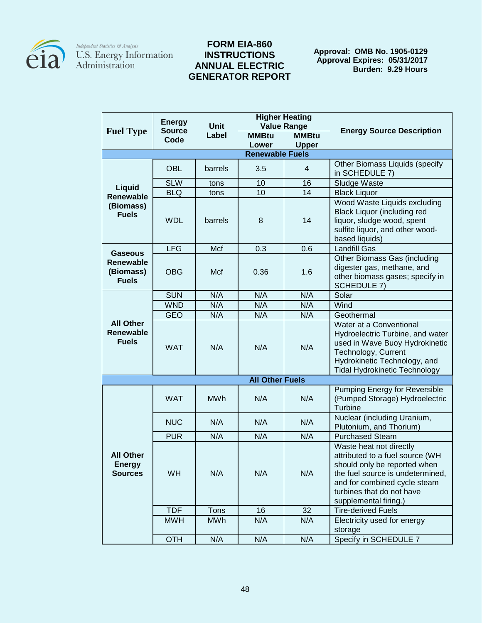

## **FORM EIA-860 INSTRUCTIONS ANNUAL ELECTRIC GENERATOR REPORT**

**Approval: OMB No. 1905-0129 Approval Expires: 05/31/2017 Burden: 9.29 Hours**

| <b>Higher Heating</b><br><b>Energy</b>               |               |                      |                        |                                    |                                                                                                                                                                                                                      |
|------------------------------------------------------|---------------|----------------------|------------------------|------------------------------------|----------------------------------------------------------------------------------------------------------------------------------------------------------------------------------------------------------------------|
| <b>Fuel Type</b>                                     | <b>Source</b> | <b>Unit</b><br>Label | <b>MMBtu</b>           | <b>Value Range</b><br><b>MMBtu</b> | <b>Energy Source Description</b>                                                                                                                                                                                     |
|                                                      | Code          |                      | Lower                  | <b>Upper</b>                       |                                                                                                                                                                                                                      |
|                                                      |               |                      | <b>Renewable Fuels</b> |                                    |                                                                                                                                                                                                                      |
|                                                      | <b>OBL</b>    | barrels              | 3.5                    | 4                                  | Other Biomass Liquids (specify<br>in SCHEDULE 7)                                                                                                                                                                     |
|                                                      | <b>SLW</b>    | tons                 | 10                     | 16                                 | Sludge Waste                                                                                                                                                                                                         |
| Liquid<br><b>Renewable</b>                           | <b>BLQ</b>    | tons                 | 10                     | 14                                 | <b>Black Liquor</b>                                                                                                                                                                                                  |
| (Biomass)<br><b>Fuels</b>                            | <b>WDL</b>    | barrels              | 8                      | 14                                 | Wood Waste Liquids excluding<br><b>Black Liquor (including red</b><br>liquor, sludge wood, spent<br>sulfite liquor, and other wood-<br>based liquids)                                                                |
| <b>Gaseous</b>                                       | <b>LFG</b>    | Mcf                  | 0.3                    | 0.6                                | <b>Landfill Gas</b>                                                                                                                                                                                                  |
| Renewable<br>(Biomass)<br><b>Fuels</b>               | <b>OBG</b>    | Mcf                  | 0.36                   | 1.6                                | Other Biomass Gas (including<br>digester gas, methane, and<br>other biomass gases; specify in<br><b>SCHEDULE 7)</b>                                                                                                  |
|                                                      | <b>SUN</b>    | N/A                  | N/A                    | N/A                                | Solar                                                                                                                                                                                                                |
|                                                      | <b>WND</b>    | N/A                  | N/A                    | N/A                                | Wind                                                                                                                                                                                                                 |
|                                                      | <b>GEO</b>    | N/A                  | N/A                    | N/A                                | Geothermal                                                                                                                                                                                                           |
| <b>All Other</b><br><b>Renewable</b><br><b>Fuels</b> | <b>WAT</b>    | N/A                  | N/A                    | N/A                                | Water at a Conventional<br>Hydroelectric Turbine, and water<br>used in Wave Buoy Hydrokinetic<br>Technology, Current<br>Hydrokinetic Technology, and<br><b>Tidal Hydrokinetic Technology</b>                         |
|                                                      |               |                      | <b>All Other Fuels</b> |                                    |                                                                                                                                                                                                                      |
|                                                      | <b>WAT</b>    | <b>MWh</b>           | N/A                    | N/A                                | <b>Pumping Energy for Reversible</b><br>(Pumped Storage) Hydroelectric<br>Turbine                                                                                                                                    |
|                                                      | <b>NUC</b>    | N/A                  | N/A                    | N/A                                | Nuclear (including Uranium,<br>Plutonium, and Thorium)                                                                                                                                                               |
|                                                      | <b>PUR</b>    | N/A                  | N/A                    | N/A                                | <b>Purchased Steam</b>                                                                                                                                                                                               |
| <b>All Other</b><br><b>Energy</b><br><b>Sources</b>  | WH            | N/A                  | N/A                    | N/A                                | Waste heat not directly<br>attributed to a fuel source (WH<br>should only be reported when<br>the fuel source is undetermined,<br>and for combined cycle steam<br>turbines that do not have<br>supplemental firing.) |
|                                                      | <b>TDF</b>    | Tons                 | 16                     | 32                                 | <b>Tire-derived Fuels</b>                                                                                                                                                                                            |
|                                                      | <b>MWH</b>    | <b>MWh</b>           | N/A                    | N/A                                | Electricity used for energy<br>storage                                                                                                                                                                               |
|                                                      | <b>OTH</b>    | N/A                  | N/A                    | N/A                                | Specify in SCHEDULE 7                                                                                                                                                                                                |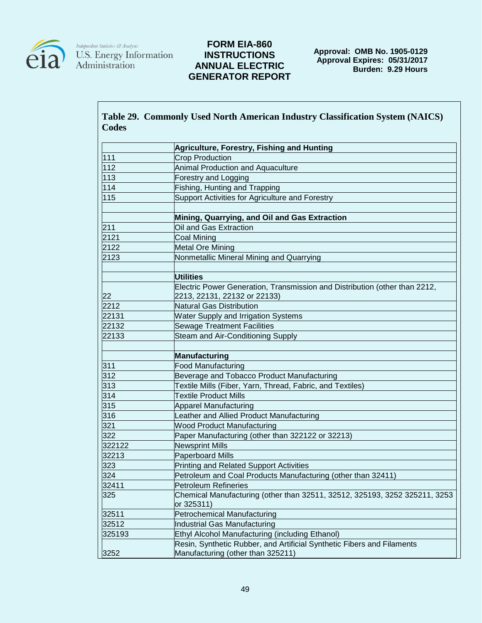

 $\begin{array}{l} \textit{Independent Statistics } \mathcal{C}\textit{Analysis} \\ \textbf{U.S. Energy Information} \\ \textbf{Administration} \end{array}$ 

|              | Table 29. Commonly Used North American Industry Classification System (NAICS) |
|--------------|-------------------------------------------------------------------------------|
| <b>Codes</b> |                                                                               |
|              | Agriculture, Forestry, Fishing and Hunting                                    |
| 111          | <b>Crop Production</b>                                                        |
| 112          | Animal Production and Aquaculture                                             |
| 113          | Forestry and Logging                                                          |
| 114          | Fishing, Hunting and Trapping                                                 |
| 115          | Support Activities for Agriculture and Forestry                               |
|              |                                                                               |
|              | Mining, Quarrying, and Oil and Gas Extraction                                 |
| 211          | Oil and Gas Extraction                                                        |
| 2121         | <b>Coal Mining</b>                                                            |
| 2122         | <b>Metal Ore Mining</b>                                                       |
| 2123         | Nonmetallic Mineral Mining and Quarrying                                      |
|              |                                                                               |
|              | <b>Utilities</b>                                                              |
|              | Electric Power Generation, Transmission and Distribution (other than 2212,    |
| 22           | 2213, 22131, 22132 or 22133)                                                  |
| 2212         | <b>Natural Gas Distribution</b>                                               |
| 22131        | Water Supply and Irrigation Systems                                           |
| 22132        | <b>Sewage Treatment Facilities</b>                                            |
| 22133        | Steam and Air-Conditioning Supply                                             |
|              |                                                                               |
|              | <b>Manufacturing</b>                                                          |
| 311          | <b>Food Manufacturing</b>                                                     |
| 312          | Beverage and Tobacco Product Manufacturing                                    |
| 313          | Textile Mills (Fiber, Yarn, Thread, Fabric, and Textiles)                     |
| 314          | <b>Textile Product Mills</b>                                                  |
| 315          | <b>Apparel Manufacturing</b>                                                  |
| 316          | Leather and Allied Product Manufacturing                                      |
| 321          | <b>Wood Product Manufacturing</b>                                             |
| 322          | Paper Manufacturing (other than 322122 or 32213)                              |
| 322122       | <b>Newsprint Mills</b>                                                        |
| 32213        | <b>Paperboard Mills</b>                                                       |

|       | Table 29. Commonly Used North American Industry Classification System (NAICS) |  |  |
|-------|-------------------------------------------------------------------------------|--|--|
| Codes |                                                                               |  |  |

| <b>Printing and Related Support Activities</b>                                                              |
|-------------------------------------------------------------------------------------------------------------|
| Petroleum and Coal Products Manufacturing (other than 32411)                                                |
| Petroleum Refineries                                                                                        |
| Chemical Manufacturing (other than 32511, 32512, 325193, 3252 325211, 3253<br>or 325311)                    |
| Petrochemical Manufacturing                                                                                 |
| Industrial Gas Manufacturing                                                                                |
| Ethyl Alcohol Manufacturing (including Ethanol)                                                             |
| Resin, Synthetic Rubber, and Artificial Synthetic Fibers and Filaments<br>Manufacturing (other than 325211) |
|                                                                                                             |
|                                                                                                             |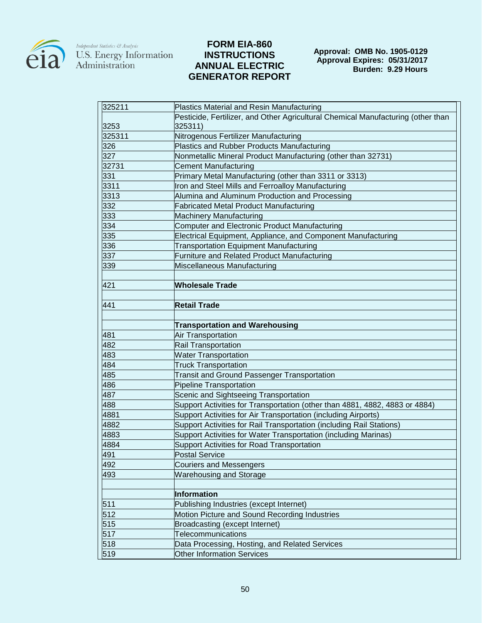

| 325211 | Plastics Material and Resin Manufacturing                                        |
|--------|----------------------------------------------------------------------------------|
|        | Pesticide, Fertilizer, and Other Agricultural Chemical Manufacturing (other than |
| 3253   | 325311)                                                                          |
| 325311 | Nitrogenous Fertilizer Manufacturing                                             |
| 326    | <b>Plastics and Rubber Products Manufacturing</b>                                |
| 327    | Nonmetallic Mineral Product Manufacturing (other than 32731)                     |
| 32731  | <b>Cement Manufacturing</b>                                                      |
| 331    | Primary Metal Manufacturing (other than 3311 or 3313)                            |
| 3311   | Iron and Steel Mills and Ferroalloy Manufacturing                                |
| 3313   | Alumina and Aluminum Production and Processing                                   |
| 332    | <b>Fabricated Metal Product Manufacturing</b>                                    |
| 333    | <b>Machinery Manufacturing</b>                                                   |
| 334    | Computer and Electronic Product Manufacturing                                    |
| 335    | Electrical Equipment, Appliance, and Component Manufacturing                     |
| 336    | <b>Transportation Equipment Manufacturing</b>                                    |
| 337    | Furniture and Related Product Manufacturing                                      |
| 339    | Miscellaneous Manufacturing                                                      |
|        |                                                                                  |
| 421    | <b>Wholesale Trade</b>                                                           |
|        |                                                                                  |
| 441    | <b>Retail Trade</b>                                                              |
|        |                                                                                  |
|        | <b>Transportation and Warehousing</b>                                            |
| 481    | Air Transportation                                                               |
| 482    | Rail Transportation                                                              |
| 483    | <b>Water Transportation</b>                                                      |
| 484    | <b>Truck Transportation</b>                                                      |
| 485    | <b>Transit and Ground Passenger Transportation</b>                               |
| 486    | <b>Pipeline Transportation</b>                                                   |
| 487    | Scenic and Sightseeing Transportation                                            |
| 488    | Support Activities for Transportation (other than 4881, 4882, 4883 or 4884)      |
| 4881   | Support Activities for Air Transportation (including Airports)                   |
| 4882   | Support Activities for Rail Transportation (including Rail Stations)             |
| 4883   | Support Activities for Water Transportation (including Marinas)                  |
| 4884   | Support Activities for Road Transportation                                       |
| 491    | Postal Service                                                                   |
| 492    | <b>Couriers and Messengers</b>                                                   |
| 493    | <b>Warehousing and Storage</b>                                                   |
|        |                                                                                  |
|        | Information                                                                      |
| 511    | Publishing Industries (except Internet)                                          |
| 512    | Motion Picture and Sound Recording Industries                                    |
| 515    | Broadcasting (except Internet)                                                   |
| 517    | Telecommunications                                                               |
| 518    | Data Processing, Hosting, and Related Services                                   |
| 519    | <b>Other Information Services</b>                                                |
|        |                                                                                  |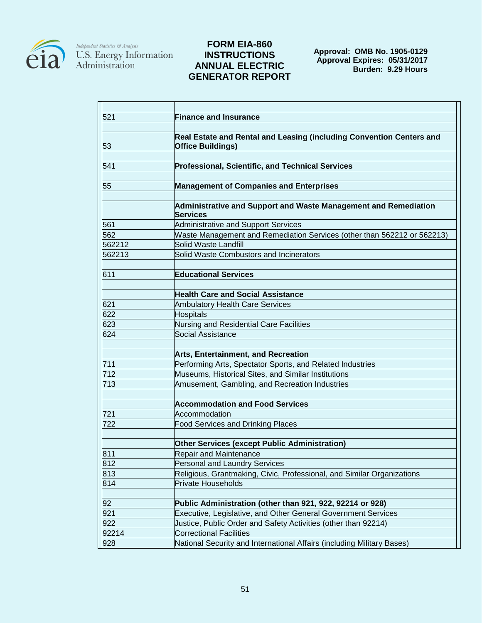

| 521    | <b>Finance and Insurance</b>                                                                     |
|--------|--------------------------------------------------------------------------------------------------|
|        |                                                                                                  |
| 53     | Real Estate and Rental and Leasing (including Convention Centers and<br><b>Office Buildings)</b> |
|        |                                                                                                  |
| 541    | <b>Professional, Scientific, and Technical Services</b>                                          |
| 55     | <b>Management of Companies and Enterprises</b>                                                   |
|        | Administrative and Support and Waste Management and Remediation<br><b>Services</b>               |
| 561    | Administrative and Support Services                                                              |
| 562    | Waste Management and Remediation Services (other than 562212 or 562213)                          |
| 562212 | Solid Waste Landfill                                                                             |
| 562213 | Solid Waste Combustors and Incinerators                                                          |
| 611    | <b>Educational Services</b>                                                                      |
|        |                                                                                                  |
|        | <b>Health Care and Social Assistance</b>                                                         |
| 621    | <b>Ambulatory Health Care Services</b>                                                           |
| 622    | <b>Hospitals</b>                                                                                 |
| 623    | Nursing and Residential Care Facilities                                                          |
| 624    | Social Assistance                                                                                |
|        | <b>Arts, Entertainment, and Recreation</b>                                                       |
| 711    | Performing Arts, Spectator Sports, and Related Industries                                        |
| 712    | Museums, Historical Sites, and Similar Institutions                                              |
| 713    | Amusement, Gambling, and Recreation Industries                                                   |
|        | <b>Accommodation and Food Services</b>                                                           |
| 721    | Accommodation                                                                                    |
| 722    | <b>Food Services and Drinking Places</b>                                                         |
|        | <b>Other Services (except Public Administration)</b>                                             |
| 811    | Repair and Maintenance                                                                           |
| 812    | <b>Personal and Laundry Services</b>                                                             |
| 813    | Religious, Grantmaking, Civic, Professional, and Similar Organizations                           |
| 814    | <b>Private Households</b>                                                                        |
| 92     | Public Administration (other than 921, 922, 92214 or 928)                                        |
| 921    | Executive, Legislative, and Other General Government Services                                    |
| 922    | Justice, Public Order and Safety Activities (other than 92214)                                   |
| 92214  | <b>Correctional Facilities</b>                                                                   |
| 928    | National Security and International Affairs (including Military Bases)                           |
|        |                                                                                                  |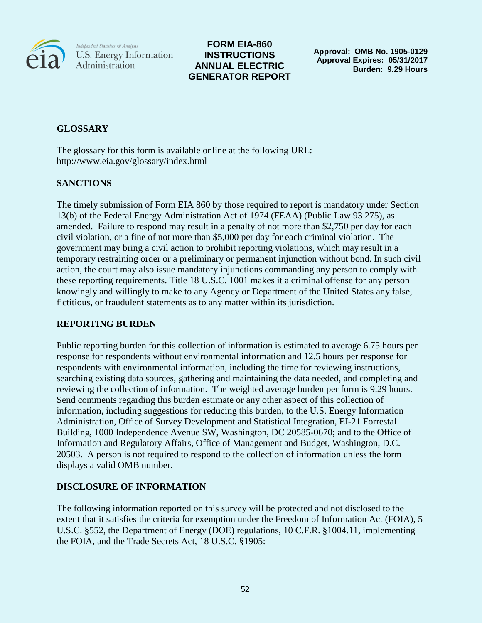

# **FORM EIA-860 INSTRUCTIONS ANNUAL ELECTRIC GENERATOR REPORT**

**Approval: OMB No. 1905-0129 Approval Expires: 05/31/2017 Burden: 9.29 Hours**

# **GLOSSARY**

The glossary for this form is available online at the following URL: http://www.eia.gov/glossary/index.html

# **SANCTIONS**

The timely submission of Form EIA 860 by those required to report is mandatory under Section 13(b) of the Federal Energy Administration Act of 1974 (FEAA) (Public Law 93 275), as amended. Failure to respond may result in a penalty of not more than \$2,750 per day for each civil violation, or a fine of not more than \$5,000 per day for each criminal violation. The government may bring a civil action to prohibit reporting violations, which may result in a temporary restraining order or a preliminary or permanent injunction without bond. In such civil action, the court may also issue mandatory injunctions commanding any person to comply with these reporting requirements. Title 18 U.S.C. 1001 makes it a criminal offense for any person knowingly and willingly to make to any Agency or Department of the United States any false, fictitious, or fraudulent statements as to any matter within its jurisdiction.

# **REPORTING BURDEN**

Public reporting burden for this collection of information is estimated to average 6.75 hours per response for respondents without environmental information and 12.5 hours per response for respondents with environmental information, including the time for reviewing instructions, searching existing data sources, gathering and maintaining the data needed, and completing and reviewing the collection of information. The weighted average burden per form is 9.29 hours. Send comments regarding this burden estimate or any other aspect of this collection of information, including suggestions for reducing this burden, to the U.S. Energy Information Administration, Office of Survey Development and Statistical Integration, EI-21 Forrestal Building, 1000 Independence Avenue SW, Washington, DC 20585-0670; and to the Office of Information and Regulatory Affairs, Office of Management and Budget, Washington, D.C. 20503. A person is not required to respond to the collection of information unless the form displays a valid OMB number.

# **DISCLOSURE OF INFORMATION**

The following information reported on this survey will be protected and not disclosed to the extent that it satisfies the criteria for exemption under the Freedom of Information Act (FOIA), 5 U.S.C. §552, the Department of Energy (DOE) regulations, 10 C.F.R. §1004.11, implementing the FOIA, and the Trade Secrets Act, 18 U.S.C. §1905: